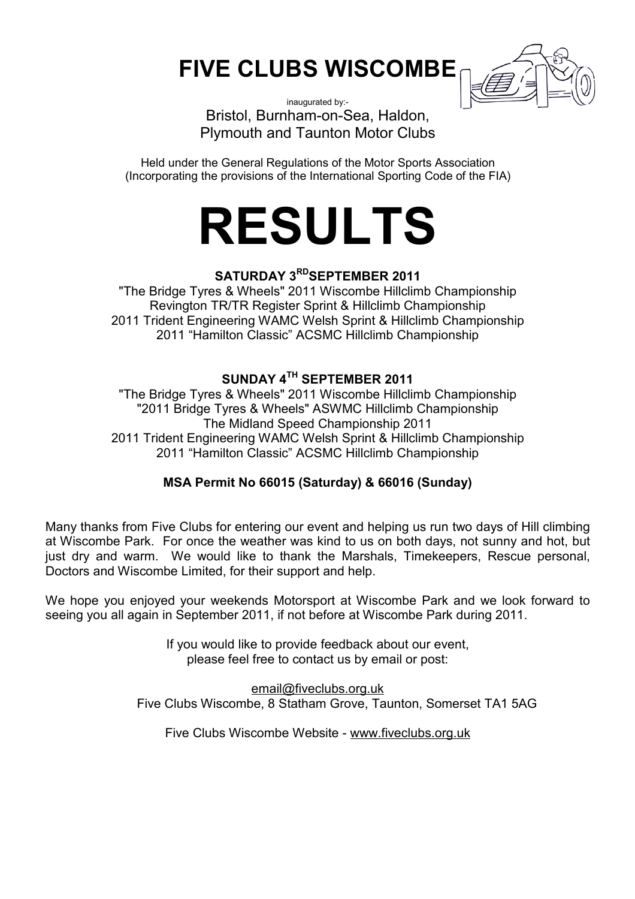## **FIVE CLUBS WISCOMBE**



inaugurated by:- Bristol, Burnham-on-Sea, Haldon, Plymouth and Taunton Motor Clubs

Held under the General Regulations of the Motor Sports Association (Incorporating the provisions of the International Sporting Code of the FIA)



## **SATURDAY 3RDSEPTEMBER 2011**

"The Bridge Tyres & Wheels" 2011 Wiscombe Hillclimb Championship Revington TR/TR Register Sprint & Hillclimb Championship 2011 Trident Engineering WAMC Welsh Sprint & Hillclimb Championship 2011 "Hamilton Classic" ACSMC Hillclimb Championship

## **SUNDAY 4TH SEPTEMBER 2011**

"The Bridge Tyres & Wheels" 2011 Wiscombe Hillclimb Championship "2011 Bridge Tyres & Wheels" ASWMC Hillclimb Championship The Midland Speed Championship 2011 2011 Trident Engineering WAMC Welsh Sprint & Hillclimb Championship 2011 "Hamilton Classic" ACSMC Hillclimb Championship

## **MSA Permit No 66015 (Saturday) & 66016 (Sunday)**

Many thanks from Five Clubs for entering our event and helping us run two days of Hill climbing at Wiscombe Park. For once the weather was kind to us on both days, not sunny and hot, but just dry and warm. We would like to thank the Marshals, Timekeepers, Rescue personal, Doctors and Wiscombe Limited, for their support and help.

We hope you enjoyed your weekends Motorsport at Wiscombe Park and we look forward to seeing you all again in September 2011, if not before at Wiscombe Park during 2011.

> If you would like to provide feedback about our event, please feel free to contact us by email or post:

[email@fiveclubs.org.uk](mailto:email@fiveclubs.org.uk) Five Clubs Wiscombe, 8 Statham Grove, Taunton, Somerset TA1 5AG

Five Clubs Wiscombe Website - [www.fiveclubs.org.uk](http://www.fiveclubs.org.uk)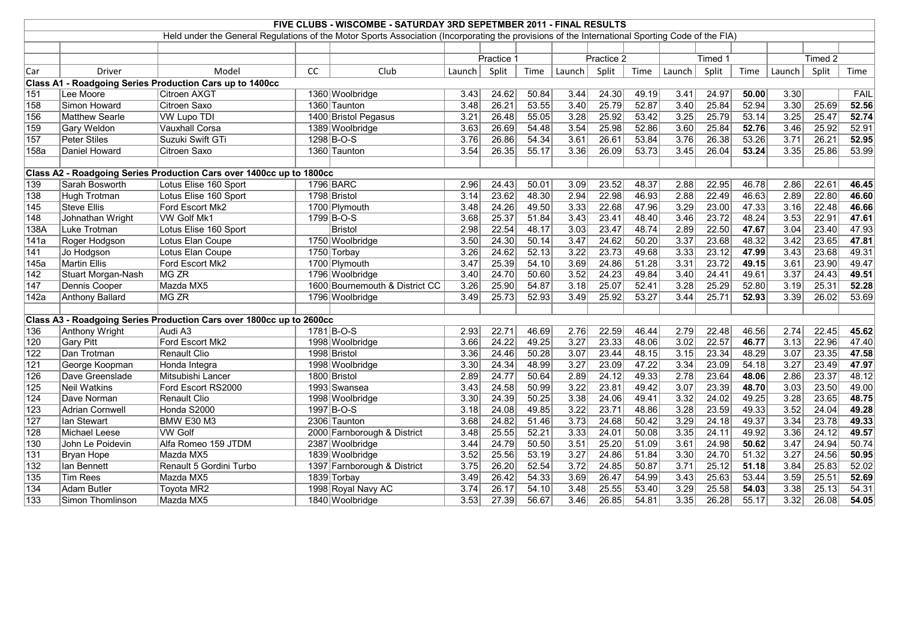|                   | FIVE CLUBS - WISCOMBE - SATURDAY 3RD SEPETMBER 2011 - FINAL RESULTS |                                                                                                                                                 |           |                                |        |            |       |        |            |       |        |         |       |                   |         |       |
|-------------------|---------------------------------------------------------------------|-------------------------------------------------------------------------------------------------------------------------------------------------|-----------|--------------------------------|--------|------------|-------|--------|------------|-------|--------|---------|-------|-------------------|---------|-------|
|                   |                                                                     | Held under the General Regulations of the Motor Sports Association (Incorporating the provisions of the International Sporting Code of the FIA) |           |                                |        |            |       |        |            |       |        |         |       |                   |         |       |
|                   |                                                                     |                                                                                                                                                 |           |                                |        |            |       |        |            |       |        |         |       |                   |         |       |
|                   |                                                                     |                                                                                                                                                 |           |                                |        | Practice 1 |       |        | Practice 2 |       |        | Timed 1 |       |                   | Timed 2 |       |
| Car               | <b>Driver</b>                                                       | Model                                                                                                                                           | <b>CC</b> | Club                           | Launch | Split      | Time  | Launch | Split      | Time  | Launch | Split   | Time  | Launch            | Split   | Time  |
|                   |                                                                     | Class A1 - Roadgoing Series Production Cars up to 1400cc                                                                                        |           |                                |        |            |       |        |            |       |        |         |       |                   |         |       |
| 151               | Lee Moore                                                           | <b>Citroen AXGT</b>                                                                                                                             |           | 1360 Woolbridge                | 3.43   | 24.62      | 50.84 | 3.44   | 24.30      | 49.19 | 3.41   | 24.97   | 50.00 | $\overline{3.30}$ |         | FAIL  |
| 158               | Simon Howard                                                        | <b>Citroen Saxo</b>                                                                                                                             |           | 1360 Taunton                   | 3.48   | 26.21      | 53.55 | 3.40   | 25.79      | 52.87 | 3.40   | 25.84   | 52.94 | 3.30              | 25.69   | 52.56 |
| 156               | Matthew Searle                                                      | <b>VW Lupo TDI</b>                                                                                                                              |           | 1400 Bristol Pegasus           | 3.21   | 26.48      | 55.05 | 3.28   | 25.92      | 53.42 | 3.25   | 25.79   | 53.14 | 3.25              | 25.47   | 52.74 |
| 159               | <b>Gary Weldon</b>                                                  | Vauxhall Corsa                                                                                                                                  |           | 1389 Woolbridge                | 3.63   | 26.69      | 54.48 | 3.54   | 25.98      | 52.86 | 3.60   | 25.84   | 52.76 | 3.46              | 25.92   | 52.91 |
| 157               | Peter Stiles                                                        | Suzuki Swift GTi                                                                                                                                |           | 1298 B-O-S                     | 3.76   | 26.86      | 54.34 | 3.61   | 26.61      | 53.84 | 3.76   | 26.38   | 53.26 | 3.71              | 26.21   | 52.95 |
| 158a              | Daniel Howard                                                       | Citroen Saxo                                                                                                                                    |           | 1360 Taunton                   | 3.54   | 26.35      | 55.17 | 3.36   | 26.09      | 53.73 | 3.45   | 26.04   | 53.24 | 3.35              | 25.86   | 53.99 |
|                   |                                                                     |                                                                                                                                                 |           |                                |        |            |       |        |            |       |        |         |       |                   |         |       |
|                   |                                                                     | Class A2 - Roadgoing Series Production Cars over 1400cc up to 1800cc                                                                            |           |                                |        |            |       |        |            |       |        |         |       |                   |         |       |
| 139               | Sarah Bosworth                                                      | Lotus Elise 160 Sport                                                                                                                           |           | 1796 BARC                      | 2.96   | 24.43      | 50.01 | 3.09   | 23.52      | 48.37 | 2.88   | 22.95   | 46.78 | 2.86              | 22.61   | 46.45 |
| 138               | Hugh Trotman                                                        | Lotus Elise 160 Sport                                                                                                                           |           | 1798 Bristol                   | 3.14   | 23.62      | 48.30 | 2.94   | 22.98      | 46.93 | 2.88   | 22.49   | 46.63 | 2.89              | 22.80   | 46.60 |
| 145               | <b>Steve Ellis</b>                                                  | Ford Escort Mk2                                                                                                                                 |           | 1700 Plymouth                  | 3.48   | 24.26      | 49.50 | 3.33   | 22.68      | 47.96 | 3.29   | 23.00   | 47.33 | 3.16              | 22.48   | 46.66 |
| $\overline{148}$  | Johnathan Wright                                                    | <b>VW Golf Mk1</b>                                                                                                                              |           | 1799 B-O-S                     | 3.68   | 25.37      | 51.84 | 3.43   | 23.41      | 48.40 | 3.46   | 23.72   | 48.24 | $\overline{3.53}$ | 22.91   | 47.61 |
| 138A              | Luke Trotman                                                        | Lotus Elise 160 Sport                                                                                                                           |           | Bristol                        | 2.98   | 22.54      | 48.17 | 3.03   | 23.47      | 48.74 | 2.89   | 22.50   | 47.67 | 3.04              | 23.40   | 47.93 |
| $\overline{141a}$ | Roger Hodgson                                                       | Lotus Elan Coupe                                                                                                                                |           | 1750 Woolbridge                | 3.50   | 24.30      | 50.14 | 3.47   | 24.62      | 50.20 | 3.37   | 23.68   | 48.32 | 3.42              | 23.65   | 47.81 |
| 141               | Jo Hodgson                                                          | Lotus Elan Coupe                                                                                                                                |           | 1750 Torbay                    | 3.26   | 24.62      | 52.13 | 3.22   | 23.73      | 49.68 | 3.33   | 23.12   | 47.99 | 3.43              | 23.68   | 49.31 |
| 145a              | <b>Martin Ellis</b>                                                 | Ford Escort Mk2                                                                                                                                 |           | 1700 Plymouth                  | 3.47   | 25.39      | 54.10 | 3.69   | 24.86      | 51.28 | 3.31   | 23.72   | 49.15 | 3.61              | 23.90   | 49.47 |
| 142               | Stuart Morgan-Nash                                                  | MG ZR                                                                                                                                           |           | 1796 Woolbridge                | 3.40   | 24.70      | 50.60 | 3.52   | 24.23      | 49.84 | 3.40   | 24.41   | 49.61 | 3.37              | 24.43   | 49.51 |
| 147               | Dennis Cooper                                                       | Mazda MX5                                                                                                                                       |           | 1600 Bournemouth & District CC | 3.26   | 25.90      | 54.87 | 3.18   | 25.07      | 52.41 | 3.28   | 25.29   | 52.80 | 3.19              | 25.31   | 52.28 |
| 142a              | <b>Anthony Ballard</b>                                              | MG ZR                                                                                                                                           |           | 1796 Woolbridge                | 3.49   | 25.73      | 52.93 | 3.49   | 25.92      | 53.27 | 3.44   | 25.71   | 52.93 | 3.39              | 26.02   | 53.69 |
|                   |                                                                     |                                                                                                                                                 |           |                                |        |            |       |        |            |       |        |         |       |                   |         |       |
|                   |                                                                     | Class A3 - Roadgoing Series Production Cars over 1800cc up to 2600cc                                                                            |           |                                |        |            |       |        |            |       |        |         |       |                   |         |       |
| 136               | <b>Anthony Wright</b>                                               | Audi A3                                                                                                                                         |           | $1781$ B-O-S                   | 2.93   | 22.71      | 46.69 | 2.76   | 22.59      | 46.44 | 2.79   | 22.48   | 46.56 | 2.74              | 22.45   | 45.62 |
| 120               | <b>Gary Pitt</b>                                                    | Ford Escort Mk2                                                                                                                                 |           | 1998 Woolbridge                | 3.66   | 24.22      | 49.25 | 3.27   | 23.33      | 48.06 | 3.02   | 22.57   | 46.77 | 3.13              | 22.96   | 47.40 |
| 122               | Dan Trotman                                                         | Renault Clio                                                                                                                                    |           | 1998 Bristol                   | 3.36   | 24.46      | 50.28 | 3.07   | 23.44      | 48.15 | 3.15   | 23.34   | 48.29 | 3.07              | 23.35   | 47.58 |
| 121               | George Koopman                                                      | Honda Integra                                                                                                                                   |           | 1998 Woolbridge                | 3.30   | 24.34      | 48.99 | 3.27   | 23.09      | 47.22 | 3.34   | 23.09   | 54.18 | 3.27              | 23.49   | 47.97 |
| 126               | Dave Greenslade                                                     | Mitsubishi Lancer                                                                                                                               |           | 1800 Bristol                   | 2.89   | 24.77      | 50.64 | 2.89   | 24.12      | 49.33 | 2.78   | 23.64   | 48.06 | 2.86              | 23.37   | 48.12 |
| 125               | <b>Neil Watkins</b>                                                 | Ford Escort RS2000                                                                                                                              |           | 1993 Swansea                   | 3.43   | 24.58      | 50.99 | 3.22   | 23.81      | 49.42 | 3.07   | 23.39   | 48.70 | 3.03              | 23.50   | 49.00 |
| 124               | Dave Norman                                                         | <b>Renault Clio</b>                                                                                                                             |           | 1998 Woolbridge                | 3.30   | 24.39      | 50.25 | 3.38   | 24.06      | 49.41 | 3.32   | 24.02   | 49.25 | 3.28              | 23.65   | 48.75 |
| 123               | Adrian Cornwell                                                     | Honda S2000                                                                                                                                     |           | 1997 B-O-S                     | 3.18   | 24.08      | 49.85 | 3.22   | 23.71      | 48.86 | 3.28   | 23.59   | 49.33 | 3.52              | 24.04   | 49.28 |
| $\overline{127}$  | <b>Ian Stewart</b>                                                  | <b>BMW E30 M3</b>                                                                                                                               |           | 2306 Taunton                   | 3.68   | 24.82      | 51.46 | 3.73   | 24.68      | 50.42 | 3.29   | 24.18   | 49.37 | 3.34              | 23.78   | 49.33 |
| 128               | <b>Michael Leese</b>                                                | <b>VW Golf</b>                                                                                                                                  |           | 2000 Farnborough & District    | 3.48   | 25.55      | 52.21 | 3.33   | 24.01      | 50.08 | 3.35   | 24.11   | 49.92 | 3.36              | 24.12   | 49.57 |
| 130               | John Le Poidevin                                                    | Alfa Romeo 159 JTDM                                                                                                                             |           | 2387 Woolbridge                | 3.44   | 24.79      | 50.50 | 3.51   | 25.20      | 51.09 | 3.61   | 24.98   | 50.62 | 3.47              | 24.94   | 50.74 |
| 131               | <b>Bryan Hope</b>                                                   | Mazda MX5                                                                                                                                       |           | 1839 Woolbridge                | 3.52   | 25.56      | 53.19 | 3.27   | 24.86      | 51.84 | 3.30   | 24.70   | 51.32 | 3.27              | 24.56   | 50.95 |
| $\overline{132}$  | lan Bennett                                                         | Renault 5 Gordini Turbo                                                                                                                         |           | 1397 Farnborough & District    | 3.75   | 26.20      | 52.54 | 3.72   | 24.85      | 50.87 | 3.71   | 25.12   | 51.18 | 3.84              | 25.83   | 52.02 |
| 135               | <b>Tim Rees</b>                                                     | Mazda MX5                                                                                                                                       |           | 1839 Torbay                    | 3.49   | 26.42      | 54.33 | 3.69   | 26.47      | 54.99 | 3.43   | 25.63   | 53.44 | 3.59              | 25.51   | 52.69 |
| 134               | <b>Adam Butler</b>                                                  | Toyota MR2                                                                                                                                      |           | 1998 Royal Navy AC             | 3.74   | 26.17      | 54.10 | 3.48   | 25.55      | 53.40 | 3.29   | 25.58   | 54.03 | 3.38              | 25.13   | 54.31 |
| 133               | Simon Thomlinson                                                    | Mazda MX5                                                                                                                                       |           | 1840 Woolbridge                | 3.53   | 27.39      | 56.67 | 3.46   | 26.85      | 54.81 | 3.35   | 26.28   | 55.17 | 3.32              | 26.08   | 54.05 |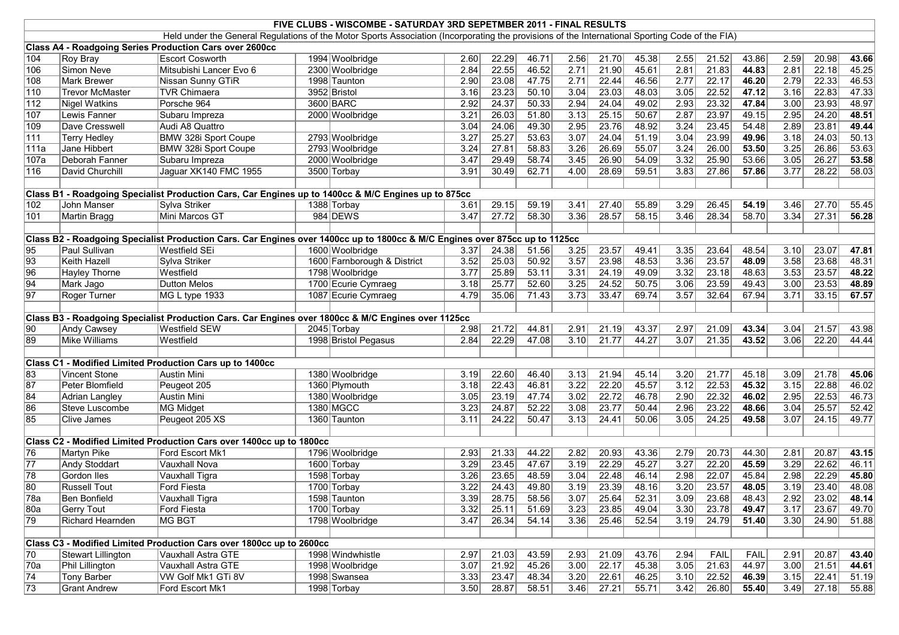|                         | FIVE CLUBS - WISCOMBE - SATURDAY 3RD SEPETMBER 2011 - FINAL RESULTS                                                                             |                                                                                                                             |  |                             |      |       |       |                   |       |       |      |       |             |      |       |       |
|-------------------------|-------------------------------------------------------------------------------------------------------------------------------------------------|-----------------------------------------------------------------------------------------------------------------------------|--|-----------------------------|------|-------|-------|-------------------|-------|-------|------|-------|-------------|------|-------|-------|
|                         | Held under the General Regulations of the Motor Sports Association (Incorporating the provisions of the International Sporting Code of the FIA) |                                                                                                                             |  |                             |      |       |       |                   |       |       |      |       |             |      |       |       |
|                         |                                                                                                                                                 | Class A4 - Roadgoing Series Production Cars over 2600cc                                                                     |  |                             |      |       |       |                   |       |       |      |       |             |      |       |       |
| $\sqrt{104}$            | Roy Bray                                                                                                                                        | <b>Escort Cosworth</b>                                                                                                      |  | 1994 Woolbridge             | 2.60 | 22.29 | 46.71 | 2.56              | 21.70 | 45.38 | 2.55 | 21.52 | 43.86       | 2.59 | 20.98 | 43.66 |
| $\sqrt{106}$            | Simon Neve                                                                                                                                      | Mitsubishi Lancer Evo 6                                                                                                     |  | 2300 Woolbridge             | 2.84 | 22.55 | 46.52 | 2.71              | 21.90 | 45.61 | 2.81 | 21.83 | 44.83       | 2.81 | 22.18 | 45.25 |
| 108                     | Mark Brewer                                                                                                                                     | Nissan Sunny GTiR                                                                                                           |  | 1998 Taunton                | 2.90 | 23.08 | 47.75 | 2.71              | 22.44 | 46.56 | 2.77 | 22.17 | 46.20       | 2.79 | 22.33 | 46.53 |
| $\sqrt{110}$            | <b>Trevor McMaster</b>                                                                                                                          | <b>TVR Chimaera</b>                                                                                                         |  | 3952 Bristol                | 3.16 | 23.23 | 50.10 | 3.04              | 23.03 | 48.03 | 3.05 | 22.52 | 47.12       | 3.16 | 22.83 | 47.33 |
| $\sqrt{112}$            | <b>Nigel Watkins</b>                                                                                                                            | Porsche 964                                                                                                                 |  | 3600 BARC                   | 2.92 | 24.37 | 50.33 | 2.94              | 24.04 | 49.02 | 2.93 | 23.32 | 47.84       | 3.00 | 23.93 | 48.97 |
| 107                     | Lewis Fanner                                                                                                                                    | Subaru Impreza                                                                                                              |  | 2000 Woolbridge             | 3.21 | 26.03 | 51.80 | $\overline{3.13}$ | 25.15 | 50.67 | 2.87 | 23.97 | 49.15       | 2.95 | 24.20 | 48.51 |
| $ 109\rangle$           | Dave Cresswell                                                                                                                                  | Audi A8 Quattro                                                                                                             |  |                             | 3.04 | 24.06 | 49.30 | $\overline{2.95}$ | 23.76 | 48.92 | 3.24 | 23.45 | 54.48       | 2.89 | 23.81 | 49.44 |
| $\overline{111}$        | <b>Terry Hedley</b>                                                                                                                             | BMW 328i Sport Coupe                                                                                                        |  | 2793 Woolbridge             | 3.27 | 25.27 | 53.63 | 3.07              | 24.04 | 51.19 | 3.04 | 23.99 | 49.96       | 3.18 | 24.03 | 50.13 |
| 111a                    | Jane Hibbert                                                                                                                                    | BMW 328i Sport Coupe                                                                                                        |  | 2793 Woolbridge             | 3.24 | 27.81 | 58.83 | 3.26              | 26.69 | 55.07 | 3.24 | 26.00 | 53.50       | 3.25 | 26.86 | 53.63 |
| 107a                    | Deborah Fanner                                                                                                                                  | Subaru Impreza                                                                                                              |  | 2000 Woolbridge             | 3.47 | 29.49 | 58.74 | 3.45              | 26.90 | 54.09 | 3.32 | 25.90 | 53.66       | 3.05 | 26.27 | 53.58 |
| 116                     | David Churchill                                                                                                                                 | Jaguar XK140 FMC 1955                                                                                                       |  | 3500 Torbay                 | 3.91 | 30.49 | 62.71 | 4.00              | 28.69 | 59.51 | 3.83 | 27.86 | 57.86       | 3.77 | 28.22 | 58.03 |
|                         |                                                                                                                                                 |                                                                                                                             |  |                             |      |       |       |                   |       |       |      |       |             |      |       |       |
|                         |                                                                                                                                                 | Class B1 - Roadgoing Specialist Production Cars, Car Engines up to 1400cc & M/C Engines up to 875cc                         |  |                             |      |       |       |                   |       |       |      |       |             |      |       |       |
| $ 102\rangle$           | John Manser                                                                                                                                     | Sylva Striker                                                                                                               |  | 1388 Torbay                 | 3.61 | 29.15 | 59.19 | 3.41              | 27.40 | 55.89 | 3.29 | 26.45 | 54.19       | 3.46 | 27.70 | 55.45 |
| 101                     | <b>Martin Bragg</b>                                                                                                                             | Mini Marcos GT                                                                                                              |  | 984 DEWS                    | 3.47 | 27.72 | 58.30 | 3.36              | 28.57 | 58.15 | 3.46 | 28.34 | 58.70       | 3.34 | 27.31 | 56.28 |
|                         |                                                                                                                                                 |                                                                                                                             |  |                             |      |       |       |                   |       |       |      |       |             |      |       |       |
|                         |                                                                                                                                                 | Class B2 - Roadgoing Specialist Production Cars. Car Engines over 1400cc up to 1800cc & M/C Engines over 875cc up to 1125cc |  |                             |      |       |       |                   |       |       |      |       |             |      |       |       |
| 95                      | Paul Sullivan                                                                                                                                   | Westfield SEi                                                                                                               |  | 1600 Woolbridge             | 3.37 | 24.38 | 51.56 | 3.25              | 23.57 | 49.41 | 3.35 | 23.64 | 48.54       | 3.10 | 23.07 | 47.81 |
| $\overline{93}$         | Keith Hazell                                                                                                                                    | Sylva Striker                                                                                                               |  | 1600 Farnborough & District | 3.52 | 25.03 | 50.92 | 3.57              | 23.98 | 48.53 | 3.36 | 23.57 | 48.09       | 3.58 | 23.68 | 48.31 |
| 96                      | <b>Hayley Thorne</b>                                                                                                                            | Westfield                                                                                                                   |  | 1798 Woolbridge             | 3.77 | 25.89 | 53.11 | 3.31              | 24.19 | 49.09 | 3.32 | 23.18 | 48.63       | 3.53 | 23.57 | 48.22 |
| $\overline{94}$         | Mark Jago                                                                                                                                       | <b>Dutton Melos</b>                                                                                                         |  | 1700 Ecurie Cymraeg         | 3.18 | 25.77 | 52.60 | 3.25              | 24.52 | 50.75 | 3.06 | 23.59 | 49.43       | 3.00 | 23.53 | 48.89 |
| $\overline{97}$         | Roger Turner                                                                                                                                    | MG L type 1933                                                                                                              |  | 1087 Ecurie Cymraeg         | 4.79 | 35.06 | 71.43 | 3.73              | 33.47 | 69.74 | 3.57 | 32.64 | 67.94       | 3.71 | 33.15 | 67.57 |
|                         |                                                                                                                                                 |                                                                                                                             |  |                             |      |       |       |                   |       |       |      |       |             |      |       |       |
|                         |                                                                                                                                                 | Class B3 - Roadgoing Specialist Production Cars. Car Engines over 1800cc & M/C Engines over 1125cc                          |  |                             |      |       |       |                   |       |       |      |       |             |      |       |       |
| $\overline{\smash{90}}$ | Andy Cawsey                                                                                                                                     | <b>Westfield SEW</b>                                                                                                        |  | 2045 Torbay                 | 2.98 | 21.72 | 44.81 | 2.91              | 21.19 | 43.37 | 2.97 | 21.09 | 43.34       | 3.04 | 21.57 | 43.98 |
| 89                      | Mike Williams                                                                                                                                   | Westfield                                                                                                                   |  | 1998 Bristol Pegasus        | 2.84 | 22.29 | 47.08 | 3.10              | 21.77 | 44.27 | 3.07 | 21.35 | 43.52       | 3.06 | 22.20 | 44.44 |
|                         |                                                                                                                                                 |                                                                                                                             |  |                             |      |       |       |                   |       |       |      |       |             |      |       |       |
|                         |                                                                                                                                                 | Class C1 - Modified Limited Production Cars up to 1400cc                                                                    |  |                             |      |       |       |                   |       |       |      |       |             |      |       |       |
| $\overline{83}$         | <b>Vincent Stone</b>                                                                                                                            | Austin Mini                                                                                                                 |  | 1380 Woolbridge             | 3.19 | 22.60 | 46.40 | 3.13              | 21.94 | 45.14 | 3.20 | 21.77 | 45.18       | 3.09 | 21.78 | 45.06 |
| 87                      | Peter Blomfield                                                                                                                                 | Peugeot 205                                                                                                                 |  | 1360 Plymouth               | 3.18 | 22.43 | 46.81 | 3.22              | 22.20 | 45.57 | 3.12 | 22.53 | 45.32       | 3.15 | 22.88 | 46.02 |
| 84                      | Adrian Langley                                                                                                                                  | <b>Austin Mini</b>                                                                                                          |  | 1380 Woolbridge             | 3.05 | 23.19 | 47.74 | $\overline{3.02}$ | 22.72 | 46.78 | 2.90 | 22.32 | 46.02       | 2.95 | 22.53 | 46.73 |
| 86                      | Steve Luscombe                                                                                                                                  | MG Midget                                                                                                                   |  | 1380 MGCC                   | 3.23 | 24.87 | 52.22 | 3.08              | 23.77 | 50.44 | 2.96 | 23.22 | 48.66       | 3.04 | 25.57 | 52.42 |
| 85                      | <b>Clive James</b>                                                                                                                              | Peugeot 205 XS                                                                                                              |  | 1360 Taunton                | 3.11 | 24.22 | 50.47 | 3.13              | 24.41 | 50.06 | 3.05 | 24.25 | 49.58       | 3.07 | 24.15 | 49.77 |
|                         |                                                                                                                                                 |                                                                                                                             |  |                             |      |       |       |                   |       |       |      |       |             |      |       |       |
|                         |                                                                                                                                                 | Class C2 - Modified Limited Production Cars over 1400cc up to 1800cc                                                        |  |                             |      |       |       |                   |       |       |      |       |             |      |       |       |
| 76                      | Martyn Pike                                                                                                                                     | Ford Escort Mk1                                                                                                             |  | 1796 Woolbridge             | 2.93 | 21.33 | 44.22 | 2.82              | 20.93 | 43.36 | 2.79 | 20.73 | 44.30       | 2.81 | 20.87 | 43.15 |
| $\overline{77}$         | <b>Andy Stoddart</b>                                                                                                                            | Vauxhall Nova                                                                                                               |  | 1600 Torbay                 | 3.29 | 23.45 | 47.67 | 3.19              | 22.29 | 45.27 | 3.27 | 22.20 | 45.59       | 3.29 | 22.62 | 46.11 |
| 78                      | Gordon Iles                                                                                                                                     | Vauxhall Tigra                                                                                                              |  | 1598 Torbay                 | 3.26 | 23.65 | 48.59 | 3.04              | 22.48 | 46.14 | 2.98 | 22.07 | 45.84       | 2.98 | 22.29 | 45.80 |
| 80                      | <b>Russell Tout</b>                                                                                                                             | Ford Fiesta                                                                                                                 |  | 1700 Torbay                 | 3.22 | 24.43 | 49.80 | $\overline{3.19}$ | 23.39 | 48.16 | 3.20 | 23.57 | 48.05       | 3.19 | 23.40 | 48.08 |
| $\sqrt{78a}$            | Ben Bonfield                                                                                                                                    | Vauxhall Tigra                                                                                                              |  | 1598 Taunton                | 3.39 | 28.75 | 58.56 | 3.07              | 25.64 | 52.31 | 3.09 | 23.68 | 48.43       | 2.92 | 23.02 | 48.14 |
| $\overline{80a}$        | Gerry Tout                                                                                                                                      | <b>Ford Fiesta</b>                                                                                                          |  | 1700 Torbay                 | 3.32 | 25.11 | 51.69 | 3.23              | 23.85 | 49.04 | 3.30 | 23.78 | 49.47       | 3.17 | 23.67 | 49.70 |
| $\overline{79}$         | Richard Hearnden                                                                                                                                | MG BGT                                                                                                                      |  | 1798 Woolbridge             | 3.47 | 26.34 | 54.14 | 3.36              | 25.46 | 52.54 | 3.19 | 24.79 | 51.40       | 3.30 | 24.90 | 51.88 |
|                         |                                                                                                                                                 |                                                                                                                             |  |                             |      |       |       |                   |       |       |      |       |             |      |       |       |
|                         |                                                                                                                                                 | Class C3 - Modified Limited Production Cars over 1800cc up to 2600cc                                                        |  |                             |      |       |       |                   |       |       |      |       |             |      |       |       |
| 70                      | <b>Stewart Lillington</b>                                                                                                                       | Vauxhall Astra GTE                                                                                                          |  | 1998 Windwhistle            | 2.97 | 21.03 | 43.59 | 2.93              | 21.09 | 43.76 | 2.94 | FAIL  | <b>FAIL</b> | 2.91 | 20.87 | 43.40 |
| $\sqrt{70a}$            | <b>Phil Lillington</b>                                                                                                                          | Vauxhall Astra GTE                                                                                                          |  | 1998 Woolbridge             | 3.07 | 21.92 | 45.26 | 3.00              | 22.17 | 45.38 | 3.05 | 21.63 | 44.97       | 3.00 | 21.51 | 44.61 |
| $\sqrt{74}$             | Tony Barber                                                                                                                                     | VW Golf Mk1 GTi 8V                                                                                                          |  | 1998 Swansea                | 3.33 | 23.47 | 48.34 | 3.20              | 22.61 | 46.25 | 3.10 | 22.52 | 46.39       | 3.15 | 22.41 | 51.19 |
| 73                      | <b>Grant Andrew</b>                                                                                                                             | Ford Escort Mk1                                                                                                             |  | 1998 Torbay                 | 3.50 | 28.87 | 58.51 | 3.46              | 27.21 | 55.71 | 3.42 | 26.80 | 55.40       | 3.49 | 27.18 | 55.88 |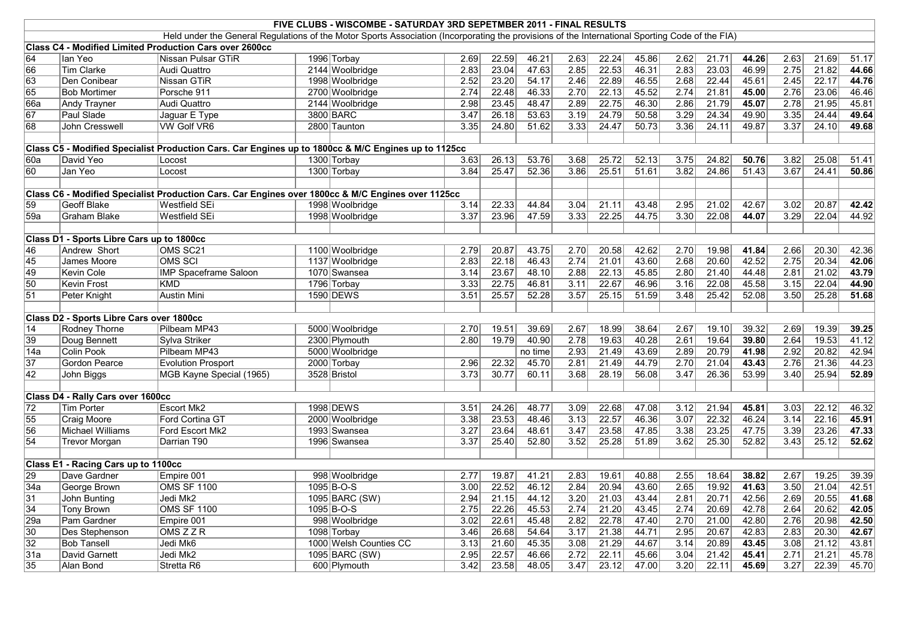|                 | FIVE CLUBS - WISCOMBE - SATURDAY 3RD SEPETMBER 2011 - FINAL RESULTS                                                                                                                                        |                                                                                                     |  |                        |                   |       |         |                   |       |       |        |       |       |      |       |       |
|-----------------|------------------------------------------------------------------------------------------------------------------------------------------------------------------------------------------------------------|-----------------------------------------------------------------------------------------------------|--|------------------------|-------------------|-------|---------|-------------------|-------|-------|--------|-------|-------|------|-------|-------|
|                 | Held under the General Regulations of the Motor Sports Association (Incorporating the provisions of the International Sporting Code of the FIA)<br>Class C4 - Modified Limited Production Cars over 2600cc |                                                                                                     |  |                        |                   |       |         |                   |       |       |        |       |       |      |       |       |
|                 |                                                                                                                                                                                                            |                                                                                                     |  |                        |                   |       |         |                   |       |       |        |       |       |      |       |       |
| 64              | lan Yeo                                                                                                                                                                                                    | Nissan Pulsar GTiR                                                                                  |  | 1996 Torbay            | 2.69              | 22.59 | 46.21   | 2.63              | 22.24 | 45.86 | 2.62   | 21.71 | 44.26 | 2.63 | 21.69 | 51.17 |
| 66              | Tim Clarke                                                                                                                                                                                                 | Audi Quattro                                                                                        |  | 2144 Woolbridge        | 2.83              | 23.04 | 47.63   | 2.85              | 22.53 | 46.31 | 2.83   | 23.03 | 46.99 | 2.75 | 21.82 | 44.66 |
| 63              | Den Conibear                                                                                                                                                                                               | Nissan GTiR                                                                                         |  | 1998 Woolbridge        | 2.52              | 23.20 | 54.17   | 2.46              | 22.89 | 46.55 | 2.68   | 22.44 | 45.61 | 2.45 | 22.17 | 44.76 |
| 65              | <b>Bob Mortimer</b>                                                                                                                                                                                        | Porsche 911                                                                                         |  | 2700 Woolbridge        | 2.74              | 22.48 | 46.33   | 2.70              | 22.13 | 45.52 | 2.74   | 21.81 | 45.00 | 2.76 | 23.06 | 46.46 |
| 66a             | <b>Andy Trayner</b>                                                                                                                                                                                        | Audi Quattro                                                                                        |  | 2144 Woolbridge        | 2.98              | 23.45 | 48.47   | 2.89              | 22.75 | 46.30 | 2.86   | 21.79 | 45.07 | 2.78 | 21.95 | 45.81 |
| $\overline{67}$ | Paul Slade                                                                                                                                                                                                 | Jaguar E Type                                                                                       |  | 3800 BARC              | 3.47              | 26.18 | 53.63   | $\overline{3.19}$ | 24.79 | 50.58 | 3.29   | 24.34 | 49.90 | 3.35 | 24.44 | 49.64 |
| 68              | John Cresswell                                                                                                                                                                                             | <b>VW Golf VR6</b>                                                                                  |  | 2800 Taunton           | 3.35              | 24.80 | 51.62   | $3.33$            | 24.47 | 50.73 | $3.36$ | 24.11 | 49.87 | 3.37 | 24.10 | 49.68 |
|                 |                                                                                                                                                                                                            |                                                                                                     |  |                        |                   |       |         |                   |       |       |        |       |       |      |       |       |
|                 |                                                                                                                                                                                                            | Class C5 - Modified Specialist Production Cars. Car Engines up to 1800cc & M/C Engines up to 1125cc |  |                        |                   |       |         |                   |       |       |        |       |       |      |       |       |
| 60a             | David Yeo                                                                                                                                                                                                  | Locost                                                                                              |  | 1300 Torbay            | 3.63              | 26.13 | 53.76   | 3.68              | 25.72 | 52.13 | 3.75   | 24.82 | 50.76 | 3.82 | 25.08 | 51.41 |
| 60              | Jan Yeo                                                                                                                                                                                                    | Locost                                                                                              |  | 1300 Torbay            | 3.84              | 25.47 | 52.36   | 3.86              | 25.51 | 51.61 | 3.82   | 24.86 | 51.43 | 3.67 | 24.41 | 50.86 |
|                 |                                                                                                                                                                                                            |                                                                                                     |  |                        |                   |       |         |                   |       |       |        |       |       |      |       |       |
|                 |                                                                                                                                                                                                            | Class C6 - Modified Specialist Production Cars. Car Engines over 1800cc & M/C Engines over 1125cc   |  |                        |                   |       |         |                   |       |       |        |       |       |      |       |       |
| 59              | Geoff Blake                                                                                                                                                                                                | Westfield SEi                                                                                       |  | 1998 Woolbridge        | 3.14              | 22.33 | 44.84   | 3.04              | 21.11 | 43.48 | 2.95   | 21.02 | 42.67 | 3.02 | 20.87 | 42.42 |
| 59a             | <b>Graham Blake</b>                                                                                                                                                                                        | Westfield SEi                                                                                       |  | 1998 Woolbridge        | 3.37              | 23.96 | 47.59   | 3.33              | 22.25 | 44.75 | 3.30   | 22.08 | 44.07 | 3.29 | 22.04 | 44.92 |
|                 |                                                                                                                                                                                                            |                                                                                                     |  |                        |                   |       |         |                   |       |       |        |       |       |      |       |       |
|                 | Class D1 - Sports Libre Cars up to 1800cc                                                                                                                                                                  |                                                                                                     |  |                        |                   |       |         |                   |       |       |        |       |       |      |       |       |
| 46              | Andrew Short                                                                                                                                                                                               | OMS SC21                                                                                            |  | 1100 Woolbridge        | 2.79              | 20.87 | 43.75   | $\overline{2.70}$ | 20.58 | 42.62 | 2.70   | 19.98 | 41.84 | 2.66 | 20.30 | 42.36 |
| 45              | James Moore                                                                                                                                                                                                | <b>OMS SCI</b>                                                                                      |  | 1137 Woolbridge        | 2.83              | 22.18 | 46.43   | 2.74              | 21.01 | 43.60 | 2.68   | 20.60 | 42.52 | 2.75 | 20.34 | 42.06 |
| 49              | Kevin Cole                                                                                                                                                                                                 | <b>IMP Spaceframe Saloon</b>                                                                        |  | 1070 Swansea           | 3.14              | 23.67 | 48.10   | 2.88              | 22.13 | 45.85 | 2.80   | 21.40 | 44.48 | 2.81 | 21.02 | 43.79 |
| 50              | Kevin Frost                                                                                                                                                                                                | <b>KMD</b>                                                                                          |  | 1796 Torbay            | 3.33              | 22.75 | 46.81   | 3.11              | 22.67 | 46.96 | 3.16   | 22.08 | 45.58 | 3.15 | 22.04 | 44.90 |
| $\overline{51}$ | Peter Knight                                                                                                                                                                                               | <b>Austin Mini</b>                                                                                  |  | 1590 DEWS              | 3.51              | 25.57 | 52.28   | 3.57              | 25.15 | 51.59 | 3.48   | 25.42 | 52.08 | 3.50 | 25.28 | 51.68 |
|                 |                                                                                                                                                                                                            |                                                                                                     |  |                        |                   |       |         |                   |       |       |        |       |       |      |       |       |
|                 | Class D2 - Sports Libre Cars over 1800cc                                                                                                                                                                   |                                                                                                     |  |                        |                   |       |         |                   |       |       |        |       |       |      |       |       |
| 14              | <b>Rodney Thorne</b>                                                                                                                                                                                       | Pilbeam MP43                                                                                        |  | 5000 Woolbridge        | 2.70              | 19.51 | 39.69   | 2.67              | 18.99 | 38.64 | 2.67   | 19.10 | 39.32 | 2.69 | 19.39 | 39.25 |
| 39              | Doug Bennett                                                                                                                                                                                               | Sylva Striker                                                                                       |  | 2300 Plymouth          | 2.80              | 19.79 | 40.90   | 2.78              | 19.63 | 40.28 | 2.61   | 19.64 | 39.80 | 2.64 | 19.53 | 41.12 |
| 14a             | Colin Pook                                                                                                                                                                                                 | Pilbeam MP43                                                                                        |  | 5000 Woolbridge        |                   |       | no time | 2.93              | 21.49 | 43.69 | 2.89   | 20.79 | 41.98 | 2.92 | 20.82 | 42.94 |
| $\overline{37}$ | Gordon Pearce                                                                                                                                                                                              | <b>Evolution Prosport</b>                                                                           |  | 2000 Torbay            | 2.96              | 22.32 | 45.70   | 2.81              | 21.49 | 44.79 | 2.70   | 21.04 | 43.43 | 2.76 | 21.36 | 44.23 |
| $\overline{42}$ | John Biggs                                                                                                                                                                                                 | MGB Kayne Special (1965)                                                                            |  | 3528 Bristol           | 3.73              | 30.77 | 60.11   | 3.68              | 28.19 | 56.08 | 3.47   | 26.36 | 53.99 | 3.40 | 25.94 | 52.89 |
|                 |                                                                                                                                                                                                            |                                                                                                     |  |                        |                   |       |         |                   |       |       |        |       |       |      |       |       |
|                 | Class D4 - Rally Cars over 1600cc                                                                                                                                                                          |                                                                                                     |  |                        |                   |       |         |                   |       |       |        |       |       |      |       |       |
| $\overline{72}$ | <b>Tim Porter</b>                                                                                                                                                                                          | Escort Mk2                                                                                          |  | 1998 DEWS              | 3.51              | 24.26 | 48.77   | 3.09              | 22.68 | 47.08 | 3.12   | 21.94 | 45.81 | 3.03 | 22.12 | 46.32 |
| 55              | Craig Moore                                                                                                                                                                                                | Ford Cortina GT                                                                                     |  | 2000 Woolbridge        | 3.38              | 23.53 | 48.46   | $\overline{3.13}$ | 22.57 | 46.36 | 3.07   | 22.32 | 46.24 | 3.14 | 22.16 | 45.91 |
| 56              | Michael Williams                                                                                                                                                                                           | Ford Escort Mk2                                                                                     |  | 1993 Swansea           | 3.27              | 23.64 | 48.61   | 3.47              | 23.58 | 47.85 | 3.38   | 23.25 | 47.75 | 3.39 | 23.26 | 47.33 |
| $\overline{54}$ | <b>Trevor Morgan</b>                                                                                                                                                                                       | Darrian T90                                                                                         |  | 1996 Swansea           | 3.37              | 25.40 | 52.80   | 3.52              | 25.28 | 51.89 | 3.62   | 25.30 | 52.82 | 3.43 | 25.12 | 52.62 |
|                 |                                                                                                                                                                                                            |                                                                                                     |  |                        |                   |       |         |                   |       |       |        |       |       |      |       |       |
|                 | Class E1 - Racing Cars up to 1100cc                                                                                                                                                                        |                                                                                                     |  |                        |                   |       |         |                   |       |       |        |       |       |      |       |       |
| 29              | Dave Gardner                                                                                                                                                                                               | Empire 001                                                                                          |  | 998 Woolbridge         | 2.77              | 19.87 | 41.21   | 2.83              | 19.61 | 40.88 | 2.55   | 18.64 | 38.82 | 2.67 | 19.25 | 39.39 |
| 34a             | George Brown                                                                                                                                                                                               | <b>OMS SF 1100</b>                                                                                  |  | $1095 B-O-S$           | 3.00              | 22.52 | 46.12   | 2.84              | 20.94 | 43.60 | 2.65   | 19.92 | 41.63 | 3.50 | 21.04 | 42.51 |
| $\overline{31}$ | John Bunting                                                                                                                                                                                               | Jedi Mk2                                                                                            |  | 1095 BARC (SW)         | 2.94              | 21.15 | 44.12   | 3.20              | 21.03 | 43.44 | 2.81   | 20.71 | 42.56 | 2.69 | 20.55 | 41.68 |
| 34              | <b>Tony Brown</b>                                                                                                                                                                                          | <b>OMS SF 1100</b>                                                                                  |  | 1095 B-O-S             | 2.75              | 22.26 | 45.53   | 2.74              | 21.20 | 43.45 | 2.74   | 20.69 | 42.78 | 2.64 | 20.62 | 42.05 |
| $\sqrt{29a}$    | Pam Gardner                                                                                                                                                                                                | Empire 001                                                                                          |  | 998 Woolbridge         | 3.02              | 22.61 | 45.48   | 2.82              | 22.78 | 47.40 | 2.70   | 21.00 | 42.80 | 2.76 | 20.98 | 42.50 |
| $\overline{30}$ | Des Stephenson                                                                                                                                                                                             | OMSZZR                                                                                              |  | 1098 Torbay            | 3.46              | 26.68 | 54.64   | 3.17              | 21.38 | 44.71 | 2.95   | 20.67 | 42.83 | 2.83 | 20.30 | 42.67 |
| $\overline{32}$ | <b>Bob Tansell</b>                                                                                                                                                                                         | Jedi Mk6                                                                                            |  | 1000 Welsh Counties CC | 3.13              | 21.60 | 45.35   | 3.08              | 21.29 | 44.67 | 3.14   | 20.89 | 43.45 | 3.08 | 21.12 | 43.81 |
| 31a             | David Garnett                                                                                                                                                                                              | Jedi Mk2                                                                                            |  | 1095 BARC (SW)         | 2.95              | 22.57 | 46.66   | 2.72              | 22.11 | 45.66 | 3.04   | 21.42 | 45.41 | 2.71 | 21.21 | 45.78 |
| 35              | Alan Bond                                                                                                                                                                                                  | Stretta R6                                                                                          |  | 600 Plymouth           | $\overline{3.42}$ | 23.58 | 48.05   | 3.47              | 23.12 | 47.00 | 3.20   | 22.11 | 45.69 | 3.27 | 22.39 | 45.70 |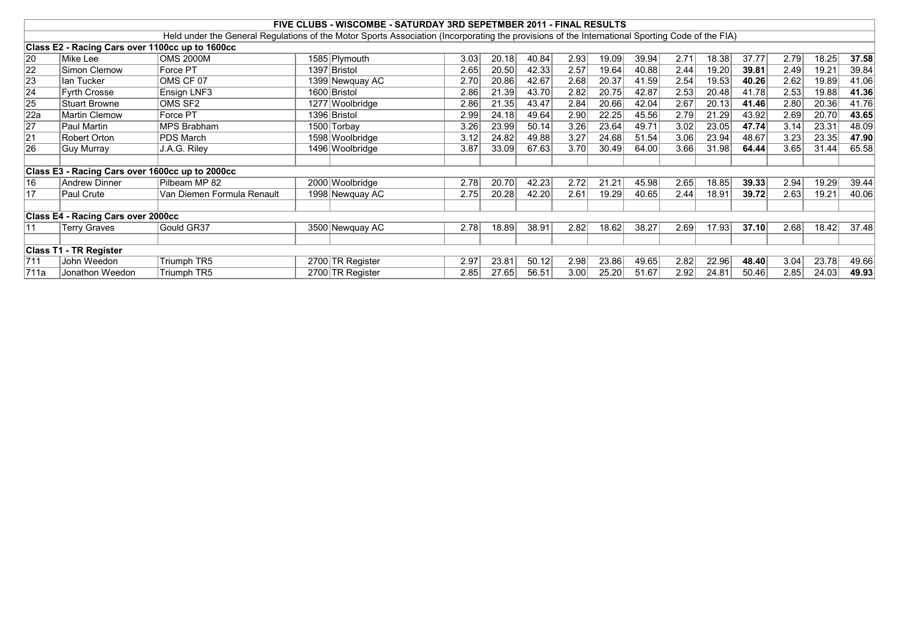|                 |                                                 |                                                                                                                                                 | FIVE CLUBS - WISCOMBE - SATURDAY 3RD SEPETMBER 2011 - FINAL RESULTS |      |       |       |      |       |       |      |       |       |      |       |       |
|-----------------|-------------------------------------------------|-------------------------------------------------------------------------------------------------------------------------------------------------|---------------------------------------------------------------------|------|-------|-------|------|-------|-------|------|-------|-------|------|-------|-------|
|                 |                                                 | Held under the General Regulations of the Motor Sports Association (Incorporating the provisions of the International Sporting Code of the FIA) |                                                                     |      |       |       |      |       |       |      |       |       |      |       |       |
|                 | Class E2 - Racing Cars over 1100cc up to 1600cc |                                                                                                                                                 |                                                                     |      |       |       |      |       |       |      |       |       |      |       |       |
| 20              | Mike Lee                                        | OMS 2000M                                                                                                                                       | 1585 Plymouth                                                       | 3.03 | 20.18 | 40.84 | 2.93 | 19.09 | 39.94 | 2.71 | 18.38 | 37.77 | 2.79 | 18.25 | 37.58 |
| $\overline{22}$ | Simon Clemow                                    | Force PT                                                                                                                                        | 1397 Bristol                                                        | 2.65 | 20.50 | 42.33 | 2.57 | 19.64 | 40.88 | 2.44 | 19.20 | 39.81 | 2.49 | 19.21 | 39.84 |
| $\sqrt{23}$     | lan Tucker                                      | OMS CF 07                                                                                                                                       | 1399 Newquay AC                                                     | 2.70 | 20.86 | 42.67 | 2.68 | 20.37 | 41.59 | 2.54 | 19.53 | 40.26 | 2.62 | 19.89 | 41.06 |
| $\overline{24}$ | Fyrth Crosse                                    | Ensign LNF3                                                                                                                                     | 1600 Bristol                                                        | 2.86 | 21.39 | 43.70 | 2.82 | 20.75 | 42.87 | 2.53 | 20.48 | 41.78 | 2.53 | 19.88 | 41.36 |
| 25              | Stuart Browne                                   | OMS SF2                                                                                                                                         | 1277 Woolbridge                                                     | 2.86 | 21.35 | 43.47 | 2.84 | 20.66 | 42.04 | 2.67 | 20.13 | 41.46 | 2.80 | 20.36 | 41.76 |
| 22a             | Martin Clemow                                   | Force PT                                                                                                                                        | 1396 Bristol                                                        | 2.99 | 24.18 | 49.64 | 2.90 | 22.25 | 45.56 | 2.79 | 21.29 | 43.92 | 2.69 | 20.70 | 43.65 |
| 27              | Paul Martin                                     | <b>IMPS Brabham</b>                                                                                                                             | 1500 Torbay                                                         | 3.26 | 23.99 | 50.14 | 3.26 | 23.64 | 49.71 | 3.02 | 23.05 | 47.74 | 3.14 | 23.31 | 48.09 |
| $\overline{21}$ | Robert Orton                                    | <b>PDS March</b>                                                                                                                                | 1598 Woolbridge                                                     | 3.12 | 24.82 | 49.88 | 3.27 | 24.68 | 51.54 | 3.06 | 23.94 | 48.67 | 3.23 | 23.35 | 47.90 |
| 26              | Guy Murray                                      | J.A.G. Riley                                                                                                                                    | 1496 Woolbridge                                                     | 3.87 | 33.09 | 67.63 | 3.70 | 30.49 | 64.00 | 3.66 | 31.98 | 64.44 | 3.65 | 31.44 | 65.58 |
|                 |                                                 |                                                                                                                                                 |                                                                     |      |       |       |      |       |       |      |       |       |      |       |       |
|                 | Class E3 - Racing Cars over 1600cc up to 2000cc |                                                                                                                                                 |                                                                     |      |       |       |      |       |       |      |       |       |      |       |       |
| 16              | Andrew Dinner                                   | Pilbeam MP 82                                                                                                                                   | 2000 Woolbridge                                                     | 2.78 | 20.70 | 42.23 | 2.72 | 21.21 | 45.98 | 2.65 | 18.85 | 39.33 | 2.94 | 19.29 | 39.44 |
| 17              | Paul Crute                                      | Van Diemen Formula Renault                                                                                                                      | 1998 Newquay AC                                                     | 2.75 | 20.28 | 42.20 | 2.61 | 19.29 | 40.65 | 2.44 | 18.91 | 39.72 | 2.63 | 19.21 | 40.06 |
|                 |                                                 |                                                                                                                                                 |                                                                     |      |       |       |      |       |       |      |       |       |      |       |       |
|                 | Class E4 - Racing Cars over 2000cc              |                                                                                                                                                 |                                                                     |      |       |       |      |       |       |      |       |       |      |       |       |
| 11              | Terry Graves                                    | Gould GR37                                                                                                                                      | 3500 Newquay AC                                                     | 2.78 | 18.89 | 38.91 | 2.82 | 18.62 | 38.27 | 2.69 | 17.93 | 37.10 | 2.68 | 18.42 | 37.48 |
|                 |                                                 |                                                                                                                                                 |                                                                     |      |       |       |      |       |       |      |       |       |      |       |       |
|                 | <b>Class T1 - TR Register</b>                   |                                                                                                                                                 |                                                                     |      |       |       |      |       |       |      |       |       |      |       |       |
| 1711            | John Weedon                                     | Triumph TR5                                                                                                                                     | 2700 TR Register                                                    | 2.97 | 23.81 | 50.12 | 2.98 | 23.86 | 49.65 | 2.82 | 22.96 | 48.40 | 3.04 | 23.78 | 49.66 |
| 1711a           | Jonathon Weedon                                 | Triumph TR5                                                                                                                                     | 2700 TR Register                                                    | 2.85 | 27.65 | 56.51 | 3.00 | 25.20 | 51.67 | 2.92 | 24.81 | 50.46 | 2.85 | 24.03 | 49.93 |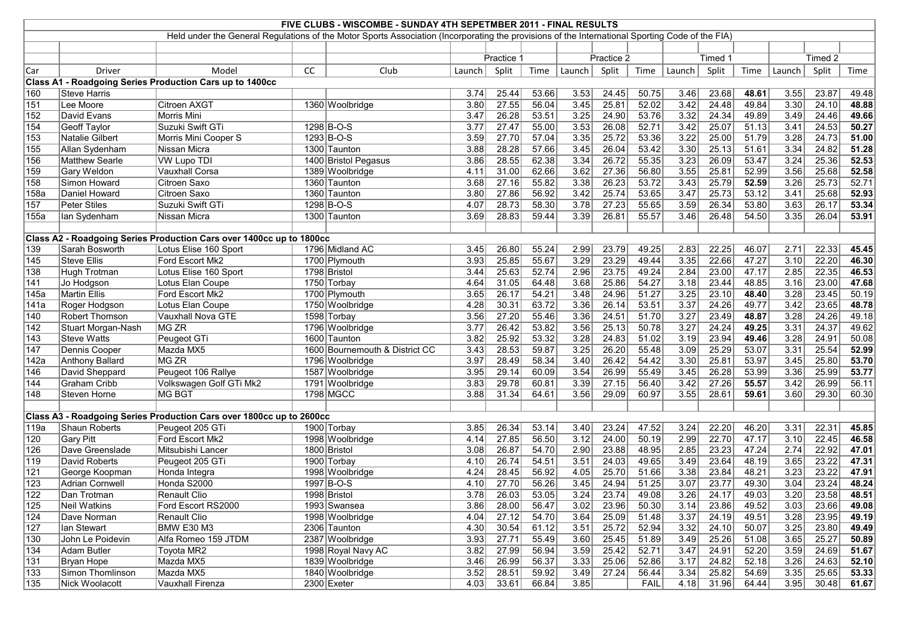|                  | FIVE CLUBS - WISCOMBE - SUNDAY 4TH SEPETMBER 2011 - FINAL RESULTS                                                                               |                                                                      |           |                                |                   |            |               |                   |            |             |        |              |       |        |         |               |
|------------------|-------------------------------------------------------------------------------------------------------------------------------------------------|----------------------------------------------------------------------|-----------|--------------------------------|-------------------|------------|---------------|-------------------|------------|-------------|--------|--------------|-------|--------|---------|---------------|
|                  | Held under the General Regulations of the Motor Sports Association (Incorporating the provisions of the International Sporting Code of the FIA) |                                                                      |           |                                |                   |            |               |                   |            |             |        |              |       |        |         |               |
|                  |                                                                                                                                                 |                                                                      |           |                                |                   |            |               |                   |            |             |        |              |       |        |         |               |
|                  |                                                                                                                                                 |                                                                      |           |                                |                   | Practice 1 |               |                   | Practice 2 |             |        | Timed 1      |       |        | Timed 2 |               |
| Car              | <b>Driver</b>                                                                                                                                   | Model                                                                | <b>CC</b> | Club                           | Launch            | Split      | Time          | Launch            | Split      | Time        | Launch | Split        | Time  | Launch | Split   | Time          |
|                  |                                                                                                                                                 | Class A1 - Roadgoing Series Production Cars up to 1400cc             |           |                                |                   |            |               |                   |            |             |        |              |       |        |         |               |
| 160              | Steve Harris                                                                                                                                    |                                                                      |           |                                | 3.74              | 25.44      | 53.66         | 3.53              | 24.45      | 50.75       | 3.46   | 23.68        | 48.61 | 3.55   | 23.87   | 49.48         |
| 151              | Lee Moore                                                                                                                                       | Citroen AXGT                                                         |           | 1360 Woolbridge                | 3.80              | 27.55      | 56.04         | 3.45              | 25.81      | 52.02       | 3.42   | 24.48        | 49.84 | 3.30   | 24.10   | 48.88         |
| 152              | David Evans                                                                                                                                     | <b>Morris Mini</b>                                                   |           |                                | 3.47              | 26.28      | 53.51         | 3.25              | 24.90      | 53.76       | 3.32   | 24.34        | 49.89 | 3.49   | 24.46   | 49.66         |
| 154              | <b>Geoff Taylor</b>                                                                                                                             | Suzuki Swift GTi                                                     |           | 1298 B-O-S                     | 3.77              | 27.47      | 55.00         | 3.53              | 26.08      | 52.71       | 3.42   | 25.07        | 51.13 | 3.41   | 24.53   | 50.27         |
| $ 153\rangle$    | Natalie Gilbert                                                                                                                                 | Morris Mini Cooper S                                                 |           | $1293 B-O-S$                   | 3.59              | 27.70      | 57.04         | 3.35              | 25.72      | 53.36       | 3.22   | 25.00        | 51.79 | 3.28   | 24.73   | 51.00         |
| 155              | Allan Sydenham                                                                                                                                  | Nissan Micra                                                         |           | 1300 Taunton                   | 3.88              | 28.28      | 57.66         | 3.45              | 26.04      | 53.42       | 3.30   | 25.13        | 51.61 | 3.34   | 24.82   | 51.28         |
| 156              | <b>Matthew Searle</b>                                                                                                                           | <b>VW Lupo TDI</b>                                                   |           | 1400 Bristol Pegasus           | 3.86              | 28.55      | 62.38         | 3.34              | 26.72      | 55.35       | 3.23   | 26.09        | 53.47 | 3.24   | 25.36   | 52.53         |
| 159              | Gary Weldon                                                                                                                                     | Vauxhall Corsa                                                       |           | 1389 Woolbridge                | 4.11              | 31.00      | 62.66         | 3.62              | 27.36      | 56.80       | 3.55   | 25.81        | 52.99 | 3.56   | 25.68   | 52.58         |
| 158              | Simon Howard                                                                                                                                    | Citroen Saxo                                                         |           | 1360 Taunton                   | 3.68              | 27.16      | 55.82         | 3.38              | 26.23      | 53.72       | 3.43   | 25.79        | 52.59 | 3.26   | 25.73   | 52.71         |
| 158a             | Daniel Howard                                                                                                                                   | Citroen Saxo                                                         |           | 1360 Taunton                   | 3.80              | 27.86      | 56.92         | 3.42              | 25.74      | 53.65       | 3.47   | 25.73        | 53.12 | 3.41   | 25.68   | 52.93         |
| 157              | Peter Stiles                                                                                                                                    | Suzuki Swift GTi                                                     |           | 1298 B-O-S                     | 4.07              | 28.73      | 58.30         | 3.78              | 27.23      | 55.65       | 3.59   | 26.34        | 53.80 | 3.63   | 26.17   | 53.34         |
| 155a             | lan Sydenham                                                                                                                                    | Nissan Micra                                                         |           | 1300 Taunton                   | 3.69              | 28.83      | 59.44         | 3.39              | 26.81      | 55.57       | 3.46   | 26.48        | 54.50 | 3.35   | 26.04   | 53.91         |
|                  |                                                                                                                                                 |                                                                      |           |                                |                   |            |               |                   |            |             |        |              |       |        |         |               |
|                  |                                                                                                                                                 | Class A2 - Roadgoing Series Production Cars over 1400cc up to 1800cc |           |                                |                   |            |               |                   |            |             |        |              |       |        |         |               |
| 139              | Sarah Bosworth                                                                                                                                  | Lotus Elise 160 Sport                                                |           | 1796 Midland AC                | 3.45              | 26.80      | 55.24         | 2.99              | 23.79      | 49.25       | 2.83   | 22.25        | 46.07 | 2.71   | 22.33   | 45.45         |
| $\overline{145}$ | <b>Steve Ellis</b>                                                                                                                              | Ford Escort Mk2                                                      |           | 1700 Plymouth                  | 3.93              | 25.85      | 55.67         | 3.29              | 23.29      | 49.44       | 3.35   | 22.66        | 47.27 | 3.10   | 22.20   | 46.30         |
| 138              | Hugh Trotman                                                                                                                                    | Lotus Elise 160 Sport                                                |           | 1798 Bristol                   | 3.44              | 25.63      | 52.74         | 2.96              | 23.75      | 49.24       | 2.84   | 23.00        | 47.17 | 2.85   | 22.35   | 46.53         |
| 141              | Jo Hodgson                                                                                                                                      | Lotus Elan Coupe                                                     |           | 1750 Torbay                    | 4.64              | 31.05      | 64.48         | 3.68              | 25.86      | 54.27       | 3.18   | 23.44        | 48.85 | 3.16   | 23.00   | 47.68         |
| 145a             | Martin Ellis                                                                                                                                    | Ford Escort Mk2                                                      |           | 1700 Plymouth                  | 3.65              | 26.17      | 54.21         | 3.48              | 24.96      | 51.27       | 3.25   | 23.10        | 48.40 | 3.28   | 23.45   | 50.19         |
| 141a             | Roger Hodgson                                                                                                                                   | Lotus Elan Coupe                                                     |           | 1750 Woolbridge                | 4.28              | 30.31      | 63.72         | 3.36              | 26.14      | 53.51       | 3.37   | 24.26        | 49.77 | 3.42   | 23.65   | 48.78         |
| 140              | <b>Robert Thomson</b>                                                                                                                           | Vauxhall Nova GTE                                                    |           | 1598 Torbay                    | 3.56              | 27.20      | 55.46         | 3.36              | 24.51      | 51.70       | 3.27   | 23.49        | 48.87 | 3.28   | 24.26   | 49.18         |
| 142              | Stuart Morgan-Nash                                                                                                                              | <b>MG ZR</b>                                                         |           | 1796 Woolbridge                | 3.77              | 26.42      | 53.82         | 3.56              | 25.13      | 50.78       | 3.27   | 24.24        | 49.25 | 3.31   | 24.37   | 49.62         |
| $\sqrt{143}$     | Steve Watts                                                                                                                                     | Peugeot GTi                                                          |           | 1600 Taunton                   | 3.82              | 25.92      | 53.32         | 3.28              | 24.83      | 51.02       | 3.19   | 23.94        | 49.46 | 3.28   | 24.91   | 50.08         |
| $\overline{147}$ | Dennis Cooper                                                                                                                                   | Mazda MX5                                                            |           | 1600 Bournemouth & District CC | 3.43              | 28.53      | 59.87         | $\overline{3.25}$ | 26.20      | 55.48       | 3.09   | 25.29        | 53.07 | 3.31   | 25.54   | 52.99         |
| 142a             | <b>Anthony Ballard</b>                                                                                                                          | <b>MG ZR</b>                                                         |           | 1796 Woolbridge                | 3.97              | 28.49      | 58.34         | 3.40              | 26.42      | 54.42       | 3.30   | 25.81        | 53.97 | 3.45   | 25.80   | 53.70         |
| 146              | David Sheppard                                                                                                                                  | Peugeot 106 Rallye                                                   |           | 1587 Woolbridge                | 3.95              | 29.14      | 60.09         | 3.54              | 26.99      | 55.49       | 3.45   | 26.28        | 53.99 | 3.36   | 25.99   | 53.77         |
| 144              | Graham Cribb                                                                                                                                    | Volkswagen Golf GTi Mk2                                              |           | 1791 Woolbridge                | 3.83              | 29.78      | 60.81         | 3.39              | 27.15      | 56.40       | 3.42   | 27.26        | 55.57 | 3.42   | 26.99   | 56.11         |
| 148              | Steven Horne                                                                                                                                    | <b>MG BGT</b>                                                        |           | 1798 MGCC                      | 3.88              | 31.34      | 64.61         | 3.56              | 29.09      | 60.97       | 3.55   | 28.61        | 59.61 | 3.60   | 29.30   | 60.30         |
|                  |                                                                                                                                                 |                                                                      |           |                                |                   |            |               |                   |            |             |        |              |       |        |         |               |
|                  |                                                                                                                                                 | Class A3 - Roadgoing Series Production Cars over 1800cc up to 2600cc |           |                                |                   |            |               |                   |            |             |        |              |       |        |         |               |
| 119a             | Shaun Roberts                                                                                                                                   | Peugeot 205 GTi                                                      |           | 1900 Torbay                    | 3.85              | 26.34      | 53.14         | 3.40              | 23.24      | 47.52       | 3.24   | 22.20        | 46.20 | 3.31   | 22.31   | 45.85         |
| 120              | <b>Gary Pitt</b>                                                                                                                                | Ford Escort Mk2                                                      |           | 1998 Woolbridge                | 4.14              | 27.85      | 56.50         | 3.12              | 24.00      | 50.19       | 2.99   | 22.70        | 47.17 | 3.10   | 22.45   | 46.58         |
| 126              | Dave Greenslade                                                                                                                                 | Mitsubishi Lancer                                                    |           | 1800 Bristol                   | 3.08              | 26.87      | 54.70         | 2.90              | 23.88      | 48.95       | 2.85   | 23.23        | 47.24 | 2.74   | 22.92   | 47.01         |
| $\overline{119}$ | David Roberts                                                                                                                                   | Peugeot 205 GTi                                                      |           | 1900 Torbay                    | 4.10              | 26.74      | 54.51         | 3.51              | 24.03      | 49.65       | 3.49   | 23.64        | 48.19 | 3.65   | 23.22   | 47.31         |
| 121              | George Koopman                                                                                                                                  | Honda Integra                                                        |           | 1998 Woolbridge                | 4.24              | 28.45      | 56.92         | 4.05              | 25.70      | 51.66       | 3.38   | 23.84        | 48.21 | 3.23   | 23.22   | 47.91         |
| $\overline{123}$ | <b>Adrian Cornwell</b>                                                                                                                          | Honda S2000                                                          |           | 1997 B-O-S                     | 4.10              | 27.70      | 56.26         | 3.45              | 24.94      | 51.25       | 3.07   | 23.77        | 49.30 | 3.04   | 23.24   | 48.24         |
| $\overline{122}$ | Dan Trotman                                                                                                                                     | Renault Clio                                                         |           | 1998 Bristol                   | $\overline{3.78}$ | 26.03      | 53.05         | 3.24              | 23.74      | 49.08       | 3.26   | 24.17        | 49.03 | 3.20   | 23.58   | 48.51         |
| $\sqrt{125}$     | Neil Watkins                                                                                                                                    | Ford Escort RS2000                                                   |           | 1993 Swansea                   | 3.86              | 28.00      | 56.47         | 3.02              | 23.96      | 50.30       | 3.14   | 23.86        | 49.52 | 3.03   | 23.66   | 49.08         |
| $\sqrt{124}$     | Dave Norman                                                                                                                                     | Renault Clio                                                         |           | 1998 Woolbridge                | 4.04              |            | $27.12$ 54.70 | 3.64              | 25.09      | 51.48       | 3.37   | 24.19        | 49.51 | 3.28   | 23.95   | 49.19         |
| $\overline{127}$ | Ian Stewart                                                                                                                                     | <b>BMW E30 M3</b>                                                    |           | 2306 Taunton                   | 4.30              | 30.54      | 61.12         | 3.51              | 25.72      | 52.94       | 3.32   | 24.10        | 50.07 | 3.25   | 23.80   | 49.49         |
| $ 130\rangle$    | John Le Poidevin                                                                                                                                | Alfa Romeo 159 JTDM                                                  |           | 2387 Woolbridge                | 3.93              | 27.71      | 55.49         | 3.60              | 25.45      | 51.89       | 3.49   | 25.26        | 51.08 | 3.65   | 25.27   | 50.89         |
| 134              | Adam Butler                                                                                                                                     | Toyota MR2                                                           |           | 1998 Royal Navy AC             | 3.82              | 27.99      | 56.94         | 3.59              | 25.42      | 52.71       | 3.47   | 24.91        | 52.20 | 3.59   | 24.69   | 51.67         |
| $\overline{131}$ | Bryan Hope                                                                                                                                      | Mazda MX5                                                            |           | 1839 Woolbridge                | 3.46              | 26.99      | 56.37         | 3.33              | 25.06      | 52.86       | 3.17   | 24.82        | 52.18 | 3.26   | 24.63   | 52.10         |
| 133              | Simon Thomlinson                                                                                                                                | Mazda MX5                                                            |           | 1840 Woolbridge                | 3.52              | 28.51      | 59.92         | 3.49              | 27.24      | 56.44       | 3.34   | 25.82        | 54.69 | 3.35   | 25.65   | 53.33         |
| $\sqrt{135}$     | Nick Woolacott                                                                                                                                  | <b>Vauxhall Firenza</b>                                              |           | 2300 Exeter                    | 4.03              | 33.61      | 66.84         | 3.85              |            | <b>FAIL</b> |        | $4.18$ 31.96 | 64.44 | 3.95   |         | $30.48$ 61.67 |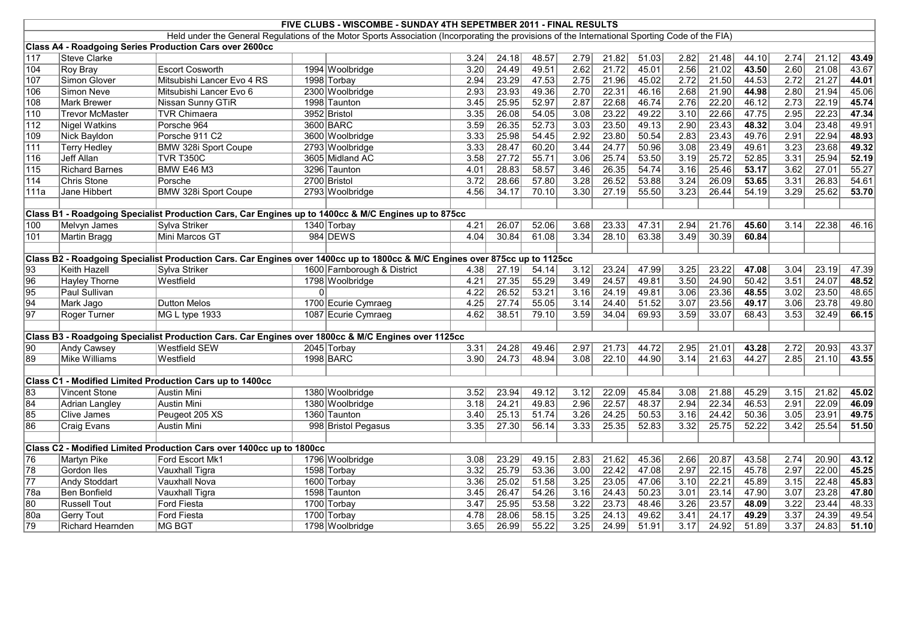|                  |                         |                                                                                                                             |          | FIVE CLUBS - WISCOMBE - SUNDAY 4TH SEPETMBER 2011 - FINAL RESULTS                                                                               |      |       |       |      |       |       |      |       |       |                   |       |       |
|------------------|-------------------------|-----------------------------------------------------------------------------------------------------------------------------|----------|-------------------------------------------------------------------------------------------------------------------------------------------------|------|-------|-------|------|-------|-------|------|-------|-------|-------------------|-------|-------|
|                  |                         |                                                                                                                             |          | Held under the General Regulations of the Motor Sports Association (Incorporating the provisions of the International Sporting Code of the FIA) |      |       |       |      |       |       |      |       |       |                   |       |       |
|                  |                         | Class A4 - Roadgoing Series Production Cars over 2600cc                                                                     |          |                                                                                                                                                 |      |       |       |      |       |       |      |       |       |                   |       |       |
| 117              | <b>Steve Clarke</b>     |                                                                                                                             |          |                                                                                                                                                 | 3.24 | 24.18 | 48.57 | 2.79 | 21.82 | 51.03 | 2.82 | 21.48 | 44.10 | 2.74              | 21.12 | 43.49 |
| 104              | <b>Roy Bray</b>         | <b>Escort Cosworth</b>                                                                                                      |          | 1994 Woolbridge                                                                                                                                 | 3.20 | 24.49 | 49.51 | 2.62 | 21.72 | 45.01 | 2.56 | 21.02 | 43.50 | 2.60              | 21.08 | 43.67 |
| 107              | Simon Glover            | Mitsubishi Lancer Evo 4 RS                                                                                                  |          | 1998 Torbay                                                                                                                                     | 2.94 | 23.29 | 47.53 | 2.75 | 21.96 | 45.02 | 2.72 | 21.50 | 44.53 | 2.72              | 21.27 | 44.01 |
| 106              | Simon Neve              | Mitsubishi Lancer Evo 6                                                                                                     |          | 2300 Woolbridge                                                                                                                                 | 2.93 | 23.93 | 49.36 | 2.70 | 22.31 | 46.16 | 2.68 | 21.90 | 44.98 | 2.80              | 21.94 | 45.06 |
| 108              | <b>Mark Brewer</b>      | Nissan Sunny GTiR                                                                                                           |          | 1998 Taunton                                                                                                                                    | 3.45 | 25.95 | 52.97 | 2.87 | 22.68 | 46.74 | 2.76 | 22.20 | 46.12 | 2.73              | 22.19 | 45.74 |
| $\sqrt{110}$     | <b>Trevor McMaster</b>  | <b>TVR Chimaera</b>                                                                                                         |          | 3952 Bristol                                                                                                                                    | 3.35 | 26.08 | 54.05 | 3.08 | 23.22 | 49.22 | 3.10 | 22.66 | 47.75 | $\overline{2.95}$ | 22.23 | 47.34 |
| $\sqrt{112}$     | <b>Nigel Watkins</b>    | Porsche 964                                                                                                                 |          | 3600 BARC                                                                                                                                       | 3.59 | 26.35 | 52.73 | 3.03 | 23.50 | 49.13 | 2.90 | 23.43 | 48.32 | 3.04              | 23.48 | 49.91 |
| $\overline{109}$ | <b>Nick Bayldon</b>     | Porsche 911 C2                                                                                                              |          | 3600 Woolbridge                                                                                                                                 | 3.33 | 25.98 | 54.45 | 2.92 | 23.80 | 50.54 | 2.83 | 23.43 | 49.76 | 2.91              | 22.94 | 48.93 |
| $\overline{111}$ | <b>Terry Hedley</b>     | <b>BMW 328i Sport Coupe</b>                                                                                                 |          | 2793 Woolbridge                                                                                                                                 | 3.33 | 28.47 | 60.20 | 3.44 | 24.77 | 50.96 | 3.08 | 23.49 | 49.61 | 3.23              | 23.68 | 49.32 |
| 116              | Jeff Allan              | <b>TVR T350C</b>                                                                                                            |          | 3605 Midland AC                                                                                                                                 | 3.58 | 27.72 | 55.71 | 3.06 | 25.74 | 53.50 | 3.19 | 25.72 | 52.85 | 3.31              | 25.94 | 52.19 |
| $\sqrt{115}$     | <b>Richard Barnes</b>   | BMW E46 M3                                                                                                                  |          | 3296 Taunton                                                                                                                                    | 4.01 | 28.83 | 58.57 | 3.46 | 26.35 | 54.74 | 3.16 | 25.46 | 53.17 | 3.62              | 27.01 | 55.27 |
| $\sqrt{114}$     | Chris Stone             | Porsche                                                                                                                     |          | 2700 Bristol                                                                                                                                    | 3.72 | 28.66 | 57.80 | 3.28 | 26.52 | 53.88 | 3.24 | 26.09 | 53.65 | 3.31              | 26.83 | 54.61 |
| 111a             | Jane Hibbert            | <b>BMW 328i Sport Coupe</b>                                                                                                 |          | 2793 Woolbridge                                                                                                                                 | 4.56 | 34.17 | 70.10 | 3.30 | 27.19 | 55.50 | 3.23 | 26.44 | 54.19 | 3.29              | 25.62 | 53.70 |
|                  |                         |                                                                                                                             |          |                                                                                                                                                 |      |       |       |      |       |       |      |       |       |                   |       |       |
|                  |                         | Class B1 - Roadgoing Specialist Production Cars, Car Engines up to 1400cc & M/C Engines up to 875cc                         |          |                                                                                                                                                 |      |       |       |      |       |       |      |       |       |                   |       |       |
| 100              | Melvyn James            | Sylva Striker                                                                                                               |          | 1340 Torbay                                                                                                                                     | 4.21 | 26.07 | 52.06 | 3.68 | 23.33 | 47.31 | 2.94 | 21.76 | 45.60 | 3.14              | 22.38 | 46.16 |
| 101              | <b>Martin Bragg</b>     | Mini Marcos GT                                                                                                              |          | 984 DEWS                                                                                                                                        | 4.04 | 30.84 | 61.08 | 3.34 | 28.10 | 63.38 | 3.49 | 30.39 | 60.84 |                   |       |       |
|                  |                         |                                                                                                                             |          |                                                                                                                                                 |      |       |       |      |       |       |      |       |       |                   |       |       |
|                  |                         | Class B2 - Roadgoing Specialist Production Cars. Car Engines over 1400cc up to 1800cc & M/C Engines over 875cc up to 1125cc |          |                                                                                                                                                 |      |       |       |      |       |       |      |       |       |                   |       |       |
| $\overline{93}$  | <b>Keith Hazell</b>     | Sylva Striker                                                                                                               |          | 1600 Farnborough & District                                                                                                                     | 4.38 | 27.19 | 54.14 | 3.12 | 23.24 | 47.99 | 3.25 | 23.22 | 47.08 | 3.04              | 23.19 | 47.39 |
| 96               | <b>Hayley Thorne</b>    | Westfield                                                                                                                   |          | 1798 Woolbridge                                                                                                                                 | 4.21 | 27.35 | 55.29 | 3.49 | 24.57 | 49.81 | 3.50 | 24.90 | 50.42 | 3.51              | 24.07 | 48.52 |
| 95               | Paul Sullivan           |                                                                                                                             | $\Omega$ |                                                                                                                                                 | 4.22 | 26.52 | 53.21 | 3.16 | 24.19 | 49.81 | 3.06 | 23.36 | 48.55 | 3.02              | 23.50 | 48.65 |
| $\overline{94}$  | Mark Jago               | Dutton Melos                                                                                                                |          | 1700 Ecurie Cymraeg                                                                                                                             | 4.25 | 27.74 | 55.05 | 3.14 | 24.40 | 51.52 | 3.07 | 23.56 | 49.17 | 3.06              | 23.78 | 49.80 |
| $\overline{97}$  | Roger Turner            | MG L type 1933                                                                                                              |          | 1087 Ecurie Cymraeg                                                                                                                             | 4.62 | 38.51 | 79.10 | 3.59 | 34.04 | 69.93 | 3.59 | 33.07 | 68.43 | 3.53              | 32.49 | 66.15 |
|                  |                         |                                                                                                                             |          |                                                                                                                                                 |      |       |       |      |       |       |      |       |       |                   |       |       |
|                  |                         | Class B3 - Roadgoing Specialist Production Cars. Car Engines over 1800cc & M/C Engines over 1125cc                          |          |                                                                                                                                                 |      |       |       |      |       |       |      |       |       |                   |       |       |
| $\overline{90}$  | <b>Andy Cawsey</b>      | <b>Westfield SEW</b>                                                                                                        |          | 2045 Torbay                                                                                                                                     | 3.31 | 24.28 | 49.46 | 2.97 | 21.73 | 44.72 | 2.95 | 21.01 | 43.28 | 2.72              | 20.93 | 43.37 |
| 89               | Mike Williams           | Westfield                                                                                                                   |          | 1998 BARC                                                                                                                                       | 3.90 | 24.73 | 48.94 | 3.08 | 22.10 | 44.90 | 3.14 | 21.63 | 44.27 | 2.85              | 21.10 | 43.55 |
|                  |                         |                                                                                                                             |          |                                                                                                                                                 |      |       |       |      |       |       |      |       |       |                   |       |       |
|                  |                         | Class C1 - Modified Limited Production Cars up to 1400cc                                                                    |          |                                                                                                                                                 |      |       |       |      |       |       |      |       |       |                   |       |       |
| 83               | <b>Vincent Stone</b>    | <b>Austin Mini</b>                                                                                                          |          | 1380 Woolbridge                                                                                                                                 | 3.52 | 23.94 | 49.12 | 3.12 | 22.09 | 45.84 | 3.08 | 21.88 | 45.29 | 3.15              | 21.82 | 45.02 |
| 84               | Adrian Langley          | Austin Mini                                                                                                                 |          | 1380 Woolbridge                                                                                                                                 | 3.18 | 24.21 | 49.83 | 2.96 | 22.57 | 48.37 | 2.94 | 22.34 | 46.53 | 2.91              | 22.09 | 46.09 |
| 85               | Clive James             | Peugeot 205 XS                                                                                                              |          | 1360 Taunton                                                                                                                                    | 3.40 | 25.13 | 51.74 | 3.26 | 24.25 | 50.53 | 3.16 | 24.42 | 50.36 | 3.05              | 23.91 | 49.75 |
| 86               | <b>Craig Evans</b>      | <b>Austin Mini</b>                                                                                                          |          | 998 Bristol Pegasus                                                                                                                             | 3.35 | 27.30 | 56.14 | 3.33 | 25.35 | 52.83 | 3.32 | 25.75 | 52.22 | $3.42$            | 25.54 | 51.50 |
|                  |                         |                                                                                                                             |          |                                                                                                                                                 |      |       |       |      |       |       |      |       |       |                   |       |       |
|                  |                         | Class C2 - Modified Limited Production Cars over 1400cc up to 1800cc                                                        |          |                                                                                                                                                 |      |       |       |      |       |       |      |       |       |                   |       |       |
| 76               | <b>Martyn Pike</b>      | Ford Escort Mk1                                                                                                             |          | 1796 Woolbridge                                                                                                                                 | 3.08 | 23.29 | 49.15 | 2.83 | 21.62 | 45.36 | 2.66 | 20.87 | 43.58 | 2.74              | 20.90 | 43.12 |
| 78               | Gordon Iles             | Vauxhall Tigra                                                                                                              |          | 1598 Torbay                                                                                                                                     | 3.32 | 25.79 | 53.36 | 3.00 | 22.42 | 47.08 | 2.97 | 22.15 | 45.78 | 2.97              | 22.00 | 45.25 |
| $\overline{77}$  | <b>Andy Stoddart</b>    | Vauxhall Nova                                                                                                               |          | 1600 Torbay                                                                                                                                     | 3.36 | 25.02 | 51.58 | 3.25 | 23.05 | 47.06 | 3.10 | 22.21 | 45.89 | 3.15              | 22.48 | 45.83 |
| 78a              | Ben Bonfield            | Vauxhall Tigra                                                                                                              |          | 1598 Taunton                                                                                                                                    | 3.45 | 26.47 | 54.26 | 3.16 | 24.43 | 50.23 | 3.01 | 23.14 | 47.90 | 3.07              | 23.28 | 47.80 |
| 80               | <b>Russell Tout</b>     | <b>Ford Fiesta</b>                                                                                                          |          | 1700 Torbay                                                                                                                                     | 3.47 | 25.95 | 53.58 | 3.22 | 23.73 | 48.46 | 3.26 | 23.57 | 48.09 | $\overline{3.22}$ | 23.44 | 48.33 |
| 80a              | <b>Gerry Tout</b>       | <b>Ford Fiesta</b>                                                                                                          |          | 1700 Torbay                                                                                                                                     | 4.78 | 28.06 | 58.15 | 3.25 | 24.13 | 49.62 | 3.41 | 24.17 | 49.29 | 3.37              | 24.39 | 49.54 |
| 79               | <b>Richard Hearnden</b> | MG BGT                                                                                                                      |          | 1798 Woolbridge                                                                                                                                 | 3.65 | 26.99 | 55.22 | 3.25 | 24.99 | 51.91 | 3.17 | 24.92 | 51.89 | 3.37              | 24.83 | 51.10 |
|                  |                         |                                                                                                                             |          |                                                                                                                                                 |      |       |       |      |       |       |      |       |       |                   |       |       |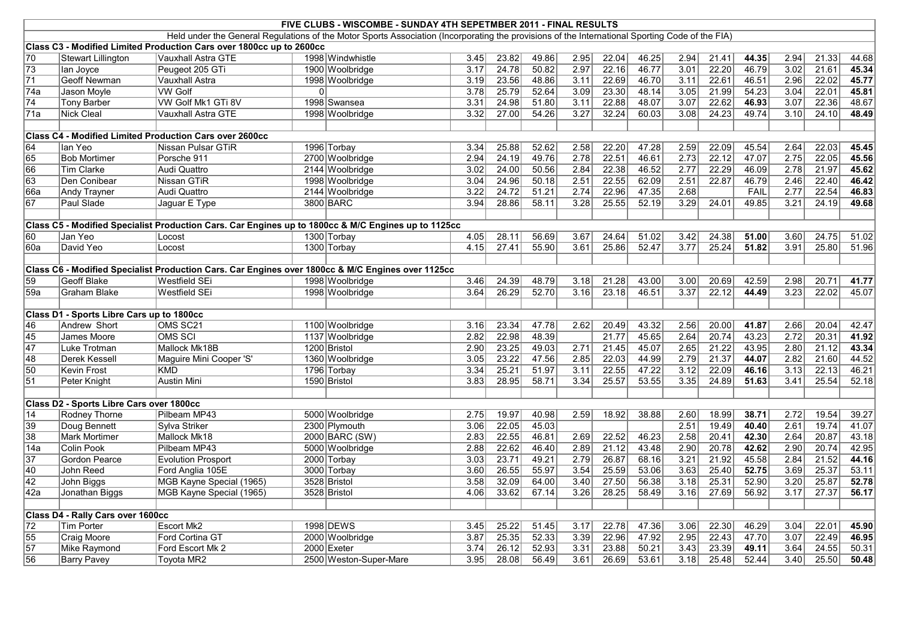|                  | FIVE CLUBS - WISCOMBE - SUNDAY 4TH SEPETMBER 2011 - FINAL RESULTS |                                                                                                     |          |                                                                                                                                                 |      |                    |       |                   |       |       |                   |       |       |                   |       |       |
|------------------|-------------------------------------------------------------------|-----------------------------------------------------------------------------------------------------|----------|-------------------------------------------------------------------------------------------------------------------------------------------------|------|--------------------|-------|-------------------|-------|-------|-------------------|-------|-------|-------------------|-------|-------|
|                  |                                                                   |                                                                                                     |          | Held under the General Regulations of the Motor Sports Association (Incorporating the provisions of the International Sporting Code of the FIA) |      |                    |       |                   |       |       |                   |       |       |                   |       |       |
|                  |                                                                   | Class C3 - Modified Limited Production Cars over 1800cc up to 2600cc                                |          |                                                                                                                                                 |      |                    |       |                   |       |       |                   |       |       |                   |       |       |
| 70               | <b>Stewart Lillington</b>                                         | Vauxhall Astra GTE                                                                                  |          | 1998 Windwhistle                                                                                                                                | 3.45 | 23.82              | 49.86 | 2.95              | 22.04 | 46.25 | 2.94              | 21.41 | 44.35 | 2.94              | 21.33 | 44.68 |
| 73               | lan Joyce                                                         | Peugeot 205 GTi                                                                                     |          | 1900 Woolbridge                                                                                                                                 | 3.17 | 24.78              | 50.82 | 2.97              | 22.16 | 46.77 | 3.01              | 22.20 | 46.79 | 3.02              | 21.61 | 45.34 |
| $\overline{71}$  | Geoff Newman                                                      | Vauxhall Astra                                                                                      |          | 1998 Woolbridge                                                                                                                                 | 3.19 | 23.56              | 48.86 | 3.11              | 22.69 | 46.70 | 3.11              | 22.61 | 46.51 | 2.96              | 22.02 | 45.77 |
| 74a              | Jason Moyle                                                       | <b>VW Golf</b>                                                                                      | $\Omega$ |                                                                                                                                                 | 3.78 | 25.79              | 52.64 | 3.09              | 23.30 | 48.14 | 3.05              | 21.99 | 54.23 | 3.04              | 22.01 | 45.81 |
| 74               | <b>Tony Barber</b>                                                | VW Golf Mk1 GTi 8V                                                                                  |          | 1998 Swansea                                                                                                                                    | 3.31 | 24.98              | 51.80 | 3.11              | 22.88 | 48.07 | 3.07              | 22.62 | 46.93 | 3.07              | 22.36 | 48.67 |
| 71a              | Nick Cleal                                                        | Vauxhall Astra GTE                                                                                  |          | 1998 Woolbridge                                                                                                                                 | 3.32 | 27.00              | 54.26 | 3.27              | 32.24 | 60.03 | 3.08              | 24.23 | 49.74 | 3.10              | 24.10 | 48.49 |
|                  |                                                                   |                                                                                                     |          |                                                                                                                                                 |      |                    |       |                   |       |       |                   |       |       |                   |       |       |
|                  |                                                                   | <b>Class C4 - Modified Limited Production Cars over 2600cc</b>                                      |          |                                                                                                                                                 |      |                    |       |                   |       |       |                   |       |       |                   |       |       |
| 64               | lan Yeo                                                           | Nissan Pulsar GTiR                                                                                  |          | 1996 Torbay                                                                                                                                     | 3.34 | 25.88              | 52.62 | 2.58              | 22.20 | 47.28 | 2.59              | 22.09 | 45.54 | 2.64              | 22.03 | 45.45 |
| 65               | <b>Bob Mortimer</b>                                               | Porsche 911                                                                                         |          | 2700 Woolbridge                                                                                                                                 | 2.94 | 24.19              | 49.76 | 2.78              | 22.51 | 46.61 | 2.73              | 22.12 | 47.07 | 2.75              | 22.05 | 45.56 |
| 66               | Tim Clarke                                                        | Audi Quattro                                                                                        |          | 2144 Woolbridge                                                                                                                                 | 3.02 | 24.00              | 50.56 | 2.84              | 22.38 | 46.52 | 2.77              | 22.29 | 46.09 | 2.78              | 21.97 | 45.62 |
| 63               | Den Conibear                                                      | Nissan GTiR                                                                                         |          | 1998 Woolbridge                                                                                                                                 | 3.04 | 24.96              | 50.18 | 2.51              | 22.55 | 62.09 | 2.51              | 22.87 | 46.79 | 2.46              | 22.40 | 46.42 |
| 66a              | <b>Andy Trayner</b>                                               | Audi Quattro                                                                                        |          | 2144 Woolbridge                                                                                                                                 | 3.22 | $\overline{24.72}$ | 51.21 | 2.74              | 22.96 | 47.35 | 2.68              |       | FAIL  | 2.77              | 22.54 | 46.83 |
| 67               | Paul Slade                                                        | Jaguar E Type                                                                                       |          | 3800 BARC                                                                                                                                       | 3.94 | 28.86              | 58.11 | 3.28              | 25.55 | 52.19 | 3.29              | 24.01 | 49.85 | 3.21              | 24.19 | 49.68 |
|                  |                                                                   |                                                                                                     |          |                                                                                                                                                 |      |                    |       |                   |       |       |                   |       |       |                   |       |       |
|                  |                                                                   | Class C5 - Modified Specialist Production Cars. Car Engines up to 1800cc & M/C Engines up to 1125cc |          |                                                                                                                                                 |      |                    |       |                   |       |       |                   |       |       |                   |       |       |
| 60               | Jan Yeo                                                           | Locost                                                                                              |          | 1300 Torbay                                                                                                                                     | 4.05 | 28.11              | 56.69 | 3.67              | 24.64 | 51.02 | 3.42              | 24.38 | 51.00 | 3.60              | 24.75 | 51.02 |
| l60a             | David Yeo                                                         | Locost                                                                                              |          | 1300 Torbay                                                                                                                                     | 4.15 | 27.41              | 55.90 | 3.61              | 25.86 | 52.47 | 3.77              | 25.24 | 51.82 | 3.91              | 25.80 | 51.96 |
|                  |                                                                   |                                                                                                     |          |                                                                                                                                                 |      |                    |       |                   |       |       |                   |       |       |                   |       |       |
|                  |                                                                   | Class C6 - Modified Specialist Production Cars. Car Engines over 1800cc & M/C Engines over 1125cc   |          |                                                                                                                                                 |      |                    |       |                   |       |       |                   |       |       |                   |       |       |
| 59               | Geoff Blake                                                       | Westfield SEi                                                                                       |          | 1998 Woolbridge                                                                                                                                 | 3.46 | 24.39              | 48.79 | 3.18              | 21.28 | 43.00 | 3.00              | 20.69 | 42.59 | 2.98              | 20.71 | 41.77 |
| 59a              | Graham Blake                                                      | Westfield SEi                                                                                       |          | 1998 Woolbridge                                                                                                                                 | 3.64 | 26.29              | 52.70 | 3.16              | 23.18 | 46.51 | 3.37              | 22.12 | 44.49 | $\overline{3.23}$ | 22.02 | 45.07 |
|                  |                                                                   |                                                                                                     |          |                                                                                                                                                 |      |                    |       |                   |       |       |                   |       |       |                   |       |       |
|                  | Class D1 - Sports Libre Cars up to 1800cc                         |                                                                                                     |          |                                                                                                                                                 |      |                    |       |                   |       |       |                   |       |       |                   |       |       |
| 46               | Andrew Short                                                      | OMS SC21                                                                                            |          | 1100 Woolbridge                                                                                                                                 | 3.16 | 23.34              | 47.78 | 2.62              | 20.49 | 43.32 | 2.56              | 20.00 | 41.87 | 2.66              | 20.04 | 42.47 |
| 45               | James Moore                                                       | <b>OMS SCI</b>                                                                                      |          | 1137 Woolbridge                                                                                                                                 | 2.82 | 22.98              | 48.39 |                   | 21.77 | 45.65 | 2.64              | 20.74 | 43.23 | 2.72              | 20.31 | 41.92 |
| $\overline{47}$  | Luke Trotman                                                      | Mallock Mk18B                                                                                       |          | 1200 Bristol                                                                                                                                    | 2.90 | 23.25              | 49.03 | 2.71              | 21.45 | 45.07 | 2.65              | 21.22 | 43.95 | 2.80              | 21.12 | 43.34 |
| 48               | Derek Kessell                                                     | Maguire Mini Cooper 'S'                                                                             |          | 1360 Woolbridge                                                                                                                                 | 3.05 | 23.22              | 47.56 | 2.85              | 22.03 | 44.99 | 2.79              | 21.37 | 44.07 | 2.82              | 21.60 | 44.52 |
| 50               | Kevin Frost                                                       | KMD                                                                                                 |          | 1796 Torbay                                                                                                                                     | 3.34 | 25.21              | 51.97 | 3.11              | 22.55 | 47.22 | 3.12              | 22.09 | 46.16 | 3.13              | 22.13 | 46.21 |
| $\overline{51}$  | Peter Knight                                                      | Austin Mini                                                                                         |          | 1590 Bristol                                                                                                                                    | 3.83 | 28.95              | 58.71 | 3.34              | 25.57 | 53.55 | 3.35              | 24.89 | 51.63 | 3.41              | 25.54 | 52.18 |
|                  |                                                                   |                                                                                                     |          |                                                                                                                                                 |      |                    |       |                   |       |       |                   |       |       |                   |       |       |
|                  | Class D2 - Sports Libre Cars over 1800cc                          |                                                                                                     |          |                                                                                                                                                 |      |                    |       |                   |       |       |                   |       |       |                   |       |       |
| $\overline{14}$  | <b>Rodney Thorne</b>                                              | Pilbeam MP43                                                                                        |          | 5000 Woolbridge                                                                                                                                 | 2.75 | 19.97              | 40.98 | 2.59              | 18.92 | 38.88 | 2.60              | 18.99 | 38.71 | 2.72              | 19.54 | 39.27 |
| 39               | Doug Bennett                                                      | Sylva Striker                                                                                       |          | 2300 Plymouth                                                                                                                                   | 3.06 | 22.05              | 45.03 |                   |       |       | 2.51              | 19.49 | 40.40 | 2.61              | 19.74 | 41.07 |
| 38               | <b>Mark Mortimer</b>                                              | Mallock Mk18                                                                                        |          | 2000 BARC (SW)                                                                                                                                  | 2.83 | 22.55              | 46.81 | 2.69              | 22.52 | 46.23 | 2.58              | 20.41 | 42.30 | 2.64              | 20.87 | 43.18 |
| $\overline{14a}$ | Colin Pook                                                        | Pilbeam MP43                                                                                        |          | 5000 Woolbridge                                                                                                                                 | 2.88 | 22.62              | 46.40 | 2.89              | 21.12 | 43.48 | 2.90              | 20.78 | 42.62 | 2.90              | 20.74 | 42.95 |
| $\overline{37}$  | Gordon Pearce                                                     | <b>Evolution Prosport</b>                                                                           |          | 2000 Torbay                                                                                                                                     | 3.03 | 23.71              | 49.21 | 2.79              | 26.87 | 68.16 | 3.21              | 21.92 | 45.58 | 2.84              | 21.52 | 44.16 |
| $\overline{40}$  | John Reed                                                         | Ford Anglia 105E                                                                                    |          | 3000 Torbay                                                                                                                                     | 3.60 | 26.55              | 55.97 | 3.54              | 25.59 | 53.06 | $\overline{3.63}$ | 25.40 | 52.75 | 3.69              | 25.37 | 53.11 |
| $\overline{42}$  | John Biggs                                                        | MGB Kayne Special (1965)                                                                            |          | 3528 Bristol                                                                                                                                    | 3.58 | 32.09              | 64.00 | 3.40              | 27.50 | 56.38 | 3.18              | 25.31 | 52.90 | 3.20              | 25.87 | 52.78 |
| 42a              | Jonathan Biggs                                                    | MGB Kayne Special (1965)                                                                            |          | 3528 Bristol                                                                                                                                    | 4.06 | 33.62              | 67.14 | $\overline{3.26}$ | 28.25 | 58.49 | 3.16              | 27.69 | 56.92 | 3.17              | 27.37 | 56.17 |
|                  |                                                                   |                                                                                                     |          |                                                                                                                                                 |      |                    |       |                   |       |       |                   |       |       |                   |       |       |
|                  | Class D4 - Rally Cars over 1600cc                                 |                                                                                                     |          |                                                                                                                                                 |      |                    |       |                   |       |       |                   |       |       |                   |       |       |
| 72               | <b>Tim Porter</b>                                                 | <b>Escort Mk2</b>                                                                                   |          | 1998 DEWS                                                                                                                                       | 3.45 | 25.22              | 51.45 | 3.17              | 22.78 | 47.36 | 3.06              | 22.30 | 46.29 | 3.04              | 22.01 | 45.90 |
| 55               | Craig Moore                                                       | Ford Cortina GT                                                                                     |          | 2000 Woolbridge                                                                                                                                 | 3.87 | 25.35              | 52.33 | 3.39              | 22.96 | 47.92 | 2.95              | 22.43 | 47.70 | 3.07              | 22.49 | 46.95 |
| $\overline{57}$  | Mike Raymond                                                      | Ford Escort Mk 2                                                                                    |          | 2000 Exeter                                                                                                                                     | 3.74 | 26.12              | 52.93 | 3.31              | 23.88 | 50.21 | 3.43              | 23.39 | 49.11 | 3.64              | 24.55 | 50.31 |
| 56               | <b>Barry Pavey</b>                                                | <b>Toyota MR2</b>                                                                                   |          | 2500 Weston-Super-Mare                                                                                                                          | 3.95 | 28.08              | 56.49 | 3.61              | 26.69 | 53.61 | 3.18              | 25.48 | 52.44 | 3.40              | 25.50 | 50.48 |
|                  |                                                                   |                                                                                                     |          |                                                                                                                                                 |      |                    |       |                   |       |       |                   |       |       |                   |       |       |